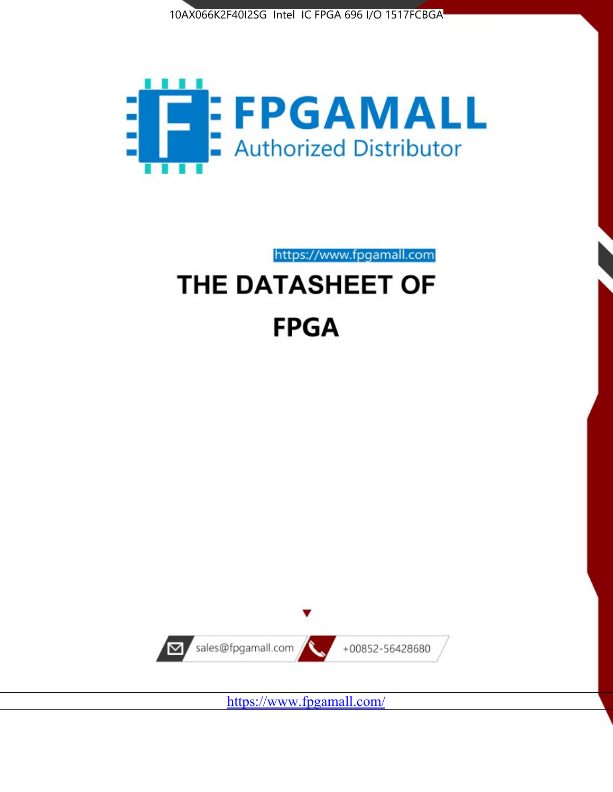



https://www.fpgamall.com

# THE DATASHEET OF **FPGA**



<https://www.fpgamall.com/>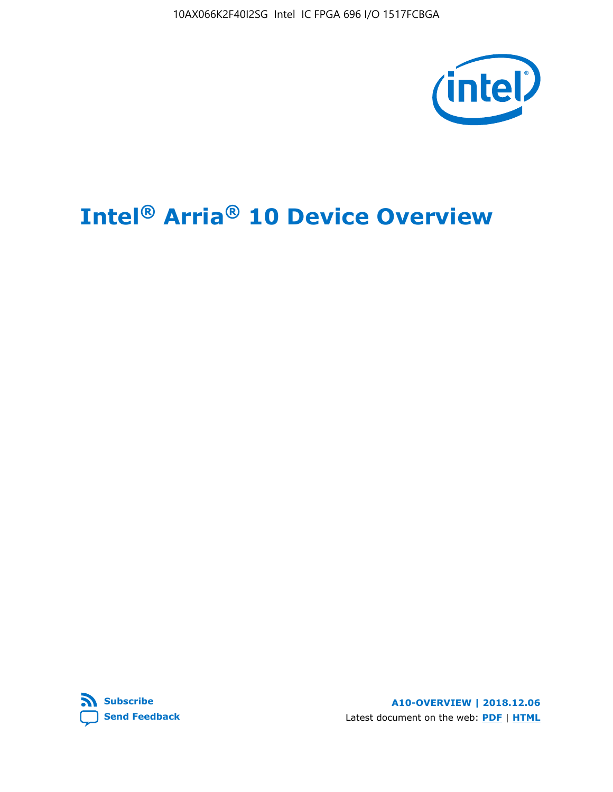10AX066K2F40I2SG Intel IC FPGA 696 I/O 1517FCBGA



# **Intel® Arria® 10 Device Overview**



**A10-OVERVIEW | 2018.12.06** Latest document on the web: **[PDF](https://www.intel.com/content/dam/www/programmable/us/en/pdfs/literature/hb/arria-10/a10_overview.pdf)** | **[HTML](https://www.intel.com/content/www/us/en/programmable/documentation/sam1403480274650.html)**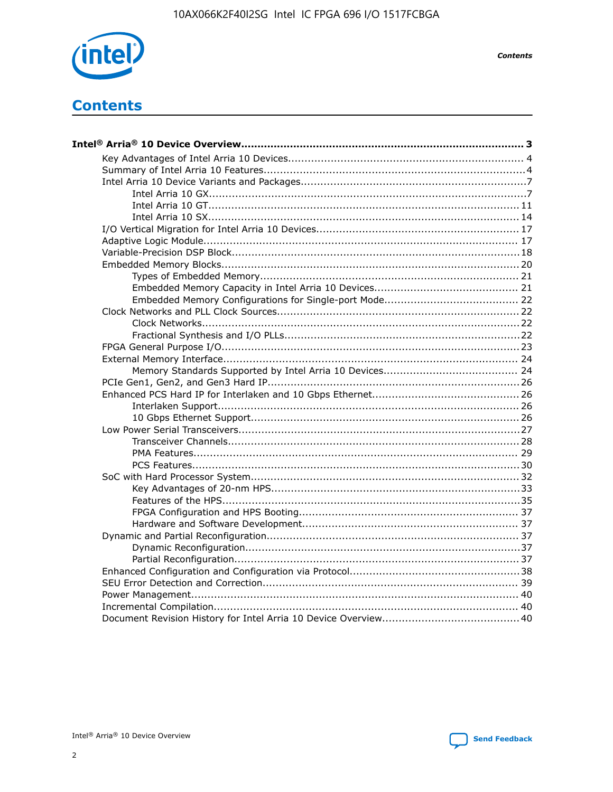

**Contents** 

# **Contents**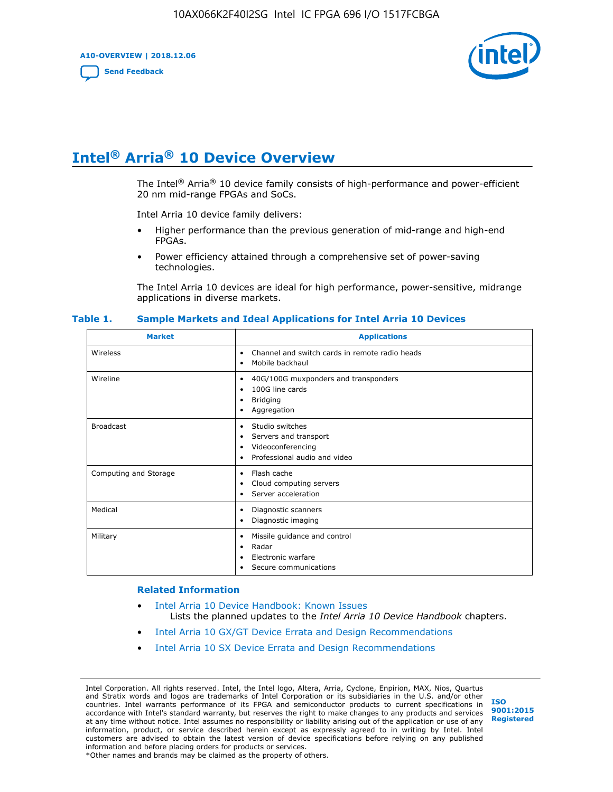**A10-OVERVIEW | 2018.12.06**

**[Send Feedback](mailto:FPGAtechdocfeedback@intel.com?subject=Feedback%20on%20Intel%20Arria%2010%20Device%20Overview%20(A10-OVERVIEW%202018.12.06)&body=We%20appreciate%20your%20feedback.%20In%20your%20comments,%20also%20specify%20the%20page%20number%20or%20paragraph.%20Thank%20you.)**



# **Intel® Arria® 10 Device Overview**

The Intel<sup>®</sup> Arria<sup>®</sup> 10 device family consists of high-performance and power-efficient 20 nm mid-range FPGAs and SoCs.

Intel Arria 10 device family delivers:

- Higher performance than the previous generation of mid-range and high-end FPGAs.
- Power efficiency attained through a comprehensive set of power-saving technologies.

The Intel Arria 10 devices are ideal for high performance, power-sensitive, midrange applications in diverse markets.

| <b>Market</b>         | <b>Applications</b>                                                                                                       |
|-----------------------|---------------------------------------------------------------------------------------------------------------------------|
| Wireless              | Channel and switch cards in remote radio heads<br>$\bullet$<br>Mobile backhaul<br>٠                                       |
| Wireline              | 40G/100G muxponders and transponders<br>٠<br>100G line cards<br>٠<br><b>Bridging</b><br>٠<br>Aggregation<br>٠             |
| <b>Broadcast</b>      | Studio switches<br>$\bullet$<br>Servers and transport<br>٠<br>Videoconferencing<br>٠<br>Professional audio and video<br>٠ |
| Computing and Storage | Flash cache<br>$\bullet$<br>Cloud computing servers<br>٠<br>Server acceleration<br>٠                                      |
| Medical               | Diagnostic scanners<br>٠<br>Diagnostic imaging<br>٠                                                                       |
| Military              | Missile guidance and control<br>٠<br>Radar<br>٠<br>Electronic warfare<br>٠<br>Secure communications                       |

#### **Table 1. Sample Markets and Ideal Applications for Intel Arria 10 Devices**

#### **Related Information**

- [Intel Arria 10 Device Handbook: Known Issues](http://www.altera.com/support/kdb/solutions/rd07302013_646.html) Lists the planned updates to the *Intel Arria 10 Device Handbook* chapters.
- [Intel Arria 10 GX/GT Device Errata and Design Recommendations](https://www.intel.com/content/www/us/en/programmable/documentation/agz1493851706374.html#yqz1494433888646)
- [Intel Arria 10 SX Device Errata and Design Recommendations](https://www.intel.com/content/www/us/en/programmable/documentation/cru1462832385668.html#cru1462832558642)

Intel Corporation. All rights reserved. Intel, the Intel logo, Altera, Arria, Cyclone, Enpirion, MAX, Nios, Quartus and Stratix words and logos are trademarks of Intel Corporation or its subsidiaries in the U.S. and/or other countries. Intel warrants performance of its FPGA and semiconductor products to current specifications in accordance with Intel's standard warranty, but reserves the right to make changes to any products and services at any time without notice. Intel assumes no responsibility or liability arising out of the application or use of any information, product, or service described herein except as expressly agreed to in writing by Intel. Intel customers are advised to obtain the latest version of device specifications before relying on any published information and before placing orders for products or services. \*Other names and brands may be claimed as the property of others.

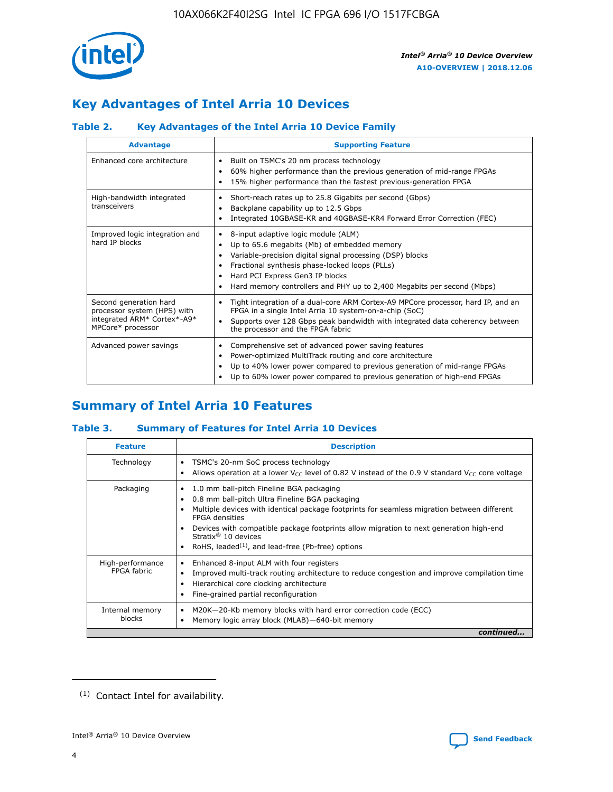

# **Key Advantages of Intel Arria 10 Devices**

## **Table 2. Key Advantages of the Intel Arria 10 Device Family**

| <b>Advantage</b>                                                                                          | <b>Supporting Feature</b>                                                                                                                                                                                                                                                                                                     |
|-----------------------------------------------------------------------------------------------------------|-------------------------------------------------------------------------------------------------------------------------------------------------------------------------------------------------------------------------------------------------------------------------------------------------------------------------------|
| Enhanced core architecture                                                                                | Built on TSMC's 20 nm process technology<br>٠<br>60% higher performance than the previous generation of mid-range FPGAs<br>٠<br>15% higher performance than the fastest previous-generation FPGA<br>٠                                                                                                                         |
| High-bandwidth integrated<br>transceivers                                                                 | Short-reach rates up to 25.8 Gigabits per second (Gbps)<br>٠<br>Backplane capability up to 12.5 Gbps<br>٠<br>Integrated 10GBASE-KR and 40GBASE-KR4 Forward Error Correction (FEC)<br>٠                                                                                                                                        |
| Improved logic integration and<br>hard IP blocks                                                          | 8-input adaptive logic module (ALM)<br>٠<br>Up to 65.6 megabits (Mb) of embedded memory<br>٠<br>Variable-precision digital signal processing (DSP) blocks<br>Fractional synthesis phase-locked loops (PLLs)<br>٠<br>Hard PCI Express Gen3 IP blocks<br>Hard memory controllers and PHY up to 2,400 Megabits per second (Mbps) |
| Second generation hard<br>processor system (HPS) with<br>integrated ARM* Cortex*-A9*<br>MPCore* processor | Tight integration of a dual-core ARM Cortex-A9 MPCore processor, hard IP, and an<br>٠<br>FPGA in a single Intel Arria 10 system-on-a-chip (SoC)<br>Supports over 128 Gbps peak bandwidth with integrated data coherency between<br>$\bullet$<br>the processor and the FPGA fabric                                             |
| Advanced power savings                                                                                    | Comprehensive set of advanced power saving features<br>٠<br>Power-optimized MultiTrack routing and core architecture<br>٠<br>Up to 40% lower power compared to previous generation of mid-range FPGAs<br>٠<br>Up to 60% lower power compared to previous generation of high-end FPGAs<br>٠                                    |

# **Summary of Intel Arria 10 Features**

## **Table 3. Summary of Features for Intel Arria 10 Devices**

| <b>Feature</b>                  | <b>Description</b>                                                                                                                                                                                                                                                                                                                                                                                       |
|---------------------------------|----------------------------------------------------------------------------------------------------------------------------------------------------------------------------------------------------------------------------------------------------------------------------------------------------------------------------------------------------------------------------------------------------------|
| Technology                      | TSMC's 20-nm SoC process technology<br>٠<br>Allows operation at a lower $V_{\text{CC}}$ level of 0.82 V instead of the 0.9 V standard $V_{\text{CC}}$ core voltage                                                                                                                                                                                                                                       |
| Packaging                       | 1.0 mm ball-pitch Fineline BGA packaging<br>0.8 mm ball-pitch Ultra Fineline BGA packaging<br>Multiple devices with identical package footprints for seamless migration between different<br><b>FPGA</b> densities<br>Devices with compatible package footprints allow migration to next generation high-end<br>Stratix $\mathcal{R}$ 10 devices<br>RoHS, leaded $(1)$ , and lead-free (Pb-free) options |
| High-performance<br>FPGA fabric | Enhanced 8-input ALM with four registers<br>٠<br>Improved multi-track routing architecture to reduce congestion and improve compilation time<br>Hierarchical core clocking architecture<br>Fine-grained partial reconfiguration                                                                                                                                                                          |
| Internal memory<br>blocks       | M20K-20-Kb memory blocks with hard error correction code (ECC)<br>Memory logic array block (MLAB)-640-bit memory                                                                                                                                                                                                                                                                                         |
|                                 | continued                                                                                                                                                                                                                                                                                                                                                                                                |



<sup>(1)</sup> Contact Intel for availability.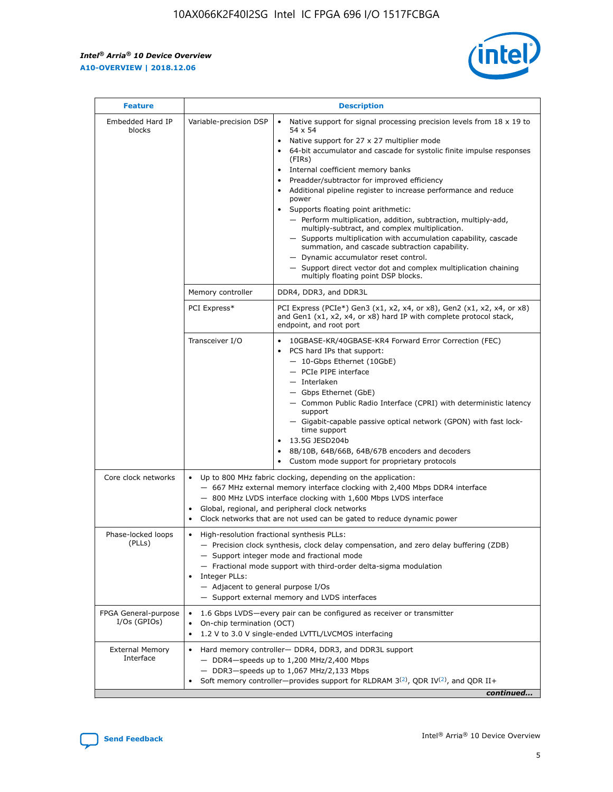r



| <b>Feature</b>                         | <b>Description</b>                                                                                             |                                                                                                                                                                                                                                                                                                                                                                                                                                                                                                                                                                                                                                                                                                                                                                                                                                        |  |  |  |  |  |
|----------------------------------------|----------------------------------------------------------------------------------------------------------------|----------------------------------------------------------------------------------------------------------------------------------------------------------------------------------------------------------------------------------------------------------------------------------------------------------------------------------------------------------------------------------------------------------------------------------------------------------------------------------------------------------------------------------------------------------------------------------------------------------------------------------------------------------------------------------------------------------------------------------------------------------------------------------------------------------------------------------------|--|--|--|--|--|
| Embedded Hard IP<br>blocks             | Variable-precision DSP                                                                                         | Native support for signal processing precision levels from $18 \times 19$ to<br>54 x 54<br>Native support for 27 x 27 multiplier mode<br>64-bit accumulator and cascade for systolic finite impulse responses<br>(FIRs)<br>Internal coefficient memory banks<br>$\bullet$<br>Preadder/subtractor for improved efficiency<br>Additional pipeline register to increase performance and reduce<br>power<br>Supports floating point arithmetic:<br>- Perform multiplication, addition, subtraction, multiply-add,<br>multiply-subtract, and complex multiplication.<br>- Supports multiplication with accumulation capability, cascade<br>summation, and cascade subtraction capability.<br>- Dynamic accumulator reset control.<br>- Support direct vector dot and complex multiplication chaining<br>multiply floating point DSP blocks. |  |  |  |  |  |
|                                        | Memory controller                                                                                              | DDR4, DDR3, and DDR3L                                                                                                                                                                                                                                                                                                                                                                                                                                                                                                                                                                                                                                                                                                                                                                                                                  |  |  |  |  |  |
|                                        | PCI Express*                                                                                                   | PCI Express (PCIe*) Gen3 (x1, x2, x4, or x8), Gen2 (x1, x2, x4, or x8)<br>and Gen1 (x1, x2, x4, or x8) hard IP with complete protocol stack,<br>endpoint, and root port                                                                                                                                                                                                                                                                                                                                                                                                                                                                                                                                                                                                                                                                |  |  |  |  |  |
|                                        | Transceiver I/O                                                                                                | 10GBASE-KR/40GBASE-KR4 Forward Error Correction (FEC)<br>PCS hard IPs that support:<br>$\bullet$<br>- 10-Gbps Ethernet (10GbE)<br>- PCIe PIPE interface<br>$-$ Interlaken<br>- Gbps Ethernet (GbE)<br>- Common Public Radio Interface (CPRI) with deterministic latency<br>support<br>- Gigabit-capable passive optical network (GPON) with fast lock-<br>time support<br>13.5G JESD204b<br>$\bullet$<br>8B/10B, 64B/66B, 64B/67B encoders and decoders<br>Custom mode support for proprietary protocols                                                                                                                                                                                                                                                                                                                               |  |  |  |  |  |
| Core clock networks                    | $\bullet$<br>$\bullet$                                                                                         | Up to 800 MHz fabric clocking, depending on the application:<br>- 667 MHz external memory interface clocking with 2,400 Mbps DDR4 interface<br>- 800 MHz LVDS interface clocking with 1,600 Mbps LVDS interface<br>Global, regional, and peripheral clock networks<br>Clock networks that are not used can be gated to reduce dynamic power                                                                                                                                                                                                                                                                                                                                                                                                                                                                                            |  |  |  |  |  |
| Phase-locked loops<br>(PLLs)           | High-resolution fractional synthesis PLLs:<br>$\bullet$<br>Integer PLLs:<br>- Adjacent to general purpose I/Os | - Precision clock synthesis, clock delay compensation, and zero delay buffering (ZDB)<br>- Support integer mode and fractional mode<br>- Fractional mode support with third-order delta-sigma modulation<br>- Support external memory and LVDS interfaces                                                                                                                                                                                                                                                                                                                                                                                                                                                                                                                                                                              |  |  |  |  |  |
| FPGA General-purpose<br>$I/Os$ (GPIOs) | On-chip termination (OCT)                                                                                      | 1.6 Gbps LVDS-every pair can be configured as receiver or transmitter<br>1.2 V to 3.0 V single-ended LVTTL/LVCMOS interfacing                                                                                                                                                                                                                                                                                                                                                                                                                                                                                                                                                                                                                                                                                                          |  |  |  |  |  |
| <b>External Memory</b><br>Interface    |                                                                                                                | Hard memory controller- DDR4, DDR3, and DDR3L support<br>$-$ DDR4-speeds up to 1,200 MHz/2,400 Mbps<br>- DDR3-speeds up to 1,067 MHz/2,133 Mbps<br>Soft memory controller—provides support for RLDRAM $3^{(2)}$ , QDR IV $^{(2)}$ , and QDR II+<br>continued                                                                                                                                                                                                                                                                                                                                                                                                                                                                                                                                                                           |  |  |  |  |  |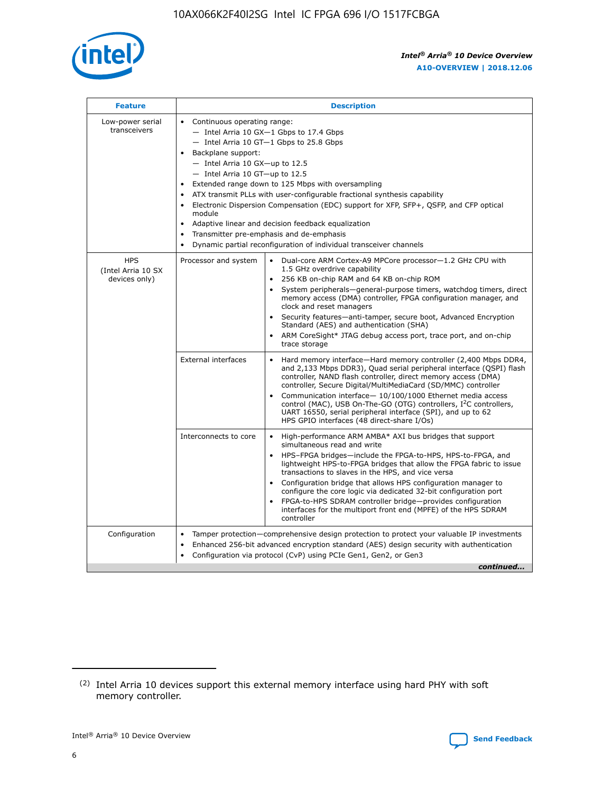

| <b>Feature</b>                                    | <b>Description</b>                                                                                                                                                                                                                                                                                                                                                                                                                                                                                                                                                                                                                                      |
|---------------------------------------------------|---------------------------------------------------------------------------------------------------------------------------------------------------------------------------------------------------------------------------------------------------------------------------------------------------------------------------------------------------------------------------------------------------------------------------------------------------------------------------------------------------------------------------------------------------------------------------------------------------------------------------------------------------------|
| Low-power serial<br>transceivers                  | • Continuous operating range:<br>- Intel Arria 10 GX-1 Gbps to 17.4 Gbps<br>- Intel Arria 10 GT-1 Gbps to 25.8 Gbps<br>Backplane support:<br>$-$ Intel Arria 10 GX-up to 12.5<br>- Intel Arria 10 GT-up to 12.5<br>Extended range down to 125 Mbps with oversampling<br>ATX transmit PLLs with user-configurable fractional synthesis capability<br>• Electronic Dispersion Compensation (EDC) support for XFP, SFP+, QSFP, and CFP optical<br>module<br>Adaptive linear and decision feedback equalization<br>$\bullet$<br>Transmitter pre-emphasis and de-emphasis<br>$\bullet$<br>Dynamic partial reconfiguration of individual transceiver channels |
| <b>HPS</b><br>(Intel Arria 10 SX<br>devices only) | Processor and system<br>Dual-core ARM Cortex-A9 MPCore processor-1.2 GHz CPU with<br>$\bullet$<br>1.5 GHz overdrive capability<br>• 256 KB on-chip RAM and 64 KB on-chip ROM<br>System peripherals-general-purpose timers, watchdog timers, direct<br>memory access (DMA) controller, FPGA configuration manager, and<br>clock and reset managers<br>• Security features—anti-tamper, secure boot, Advanced Encryption<br>Standard (AES) and authentication (SHA)<br>ARM CoreSight* JTAG debug access port, trace port, and on-chip<br>trace storage                                                                                                    |
|                                                   | <b>External interfaces</b><br>Hard memory interface—Hard memory controller (2,400 Mbps DDR4,<br>$\bullet$<br>and 2,133 Mbps DDR3), Quad serial peripheral interface (QSPI) flash<br>controller, NAND flash controller, direct memory access (DMA)<br>controller, Secure Digital/MultiMediaCard (SD/MMC) controller<br>Communication interface-10/100/1000 Ethernet media access<br>control (MAC), USB On-The-GO (OTG) controllers, I <sup>2</sup> C controllers,<br>UART 16550, serial peripheral interface (SPI), and up to 62<br>HPS GPIO interfaces (48 direct-share I/Os)                                                                           |
|                                                   | High-performance ARM AMBA* AXI bus bridges that support<br>Interconnects to core<br>$\bullet$<br>simultaneous read and write<br>HPS-FPGA bridges—include the FPGA-to-HPS, HPS-to-FPGA, and<br>lightweight HPS-to-FPGA bridges that allow the FPGA fabric to issue<br>transactions to slaves in the HPS, and vice versa<br>Configuration bridge that allows HPS configuration manager to<br>configure the core logic via dedicated 32-bit configuration port<br>FPGA-to-HPS SDRAM controller bridge-provides configuration<br>interfaces for the multiport front end (MPFE) of the HPS SDRAM<br>controller                                               |
| Configuration                                     | Tamper protection—comprehensive design protection to protect your valuable IP investments<br>Enhanced 256-bit advanced encryption standard (AES) design security with authentication<br>٠<br>Configuration via protocol (CvP) using PCIe Gen1, Gen2, or Gen3<br>continued                                                                                                                                                                                                                                                                                                                                                                               |

<sup>(2)</sup> Intel Arria 10 devices support this external memory interface using hard PHY with soft memory controller.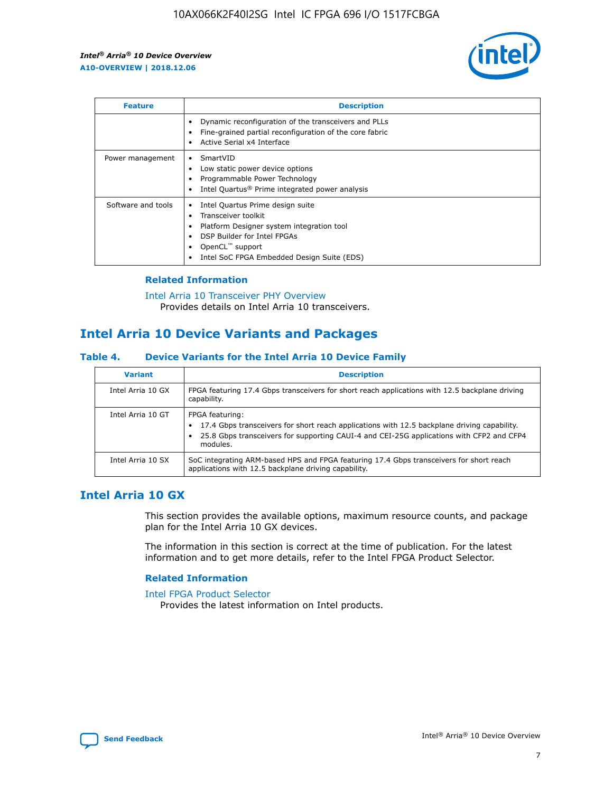

| <b>Feature</b>     | <b>Description</b>                                                                                                                                                                                                    |
|--------------------|-----------------------------------------------------------------------------------------------------------------------------------------------------------------------------------------------------------------------|
|                    | Dynamic reconfiguration of the transceivers and PLLs<br>Fine-grained partial reconfiguration of the core fabric<br>Active Serial x4 Interface                                                                         |
| Power management   | SmartVID<br>Low static power device options<br>Programmable Power Technology<br>Intel Quartus <sup>®</sup> Prime integrated power analysis                                                                            |
| Software and tools | Intel Quartus Prime design suite<br>Transceiver toolkit<br>٠<br>Platform Designer system integration tool<br>DSP Builder for Intel FPGAs<br>OpenCL <sup>™</sup> support<br>Intel SoC FPGA Embedded Design Suite (EDS) |

## **Related Information**

[Intel Arria 10 Transceiver PHY Overview](https://www.intel.com/content/www/us/en/programmable/documentation/nik1398707230472.html#nik1398706768037) Provides details on Intel Arria 10 transceivers.

## **Intel Arria 10 Device Variants and Packages**

#### **Table 4. Device Variants for the Intel Arria 10 Device Family**

| <b>Variant</b>    | <b>Description</b>                                                                                                                                                                                                     |
|-------------------|------------------------------------------------------------------------------------------------------------------------------------------------------------------------------------------------------------------------|
| Intel Arria 10 GX | FPGA featuring 17.4 Gbps transceivers for short reach applications with 12.5 backplane driving<br>capability.                                                                                                          |
| Intel Arria 10 GT | FPGA featuring:<br>17.4 Gbps transceivers for short reach applications with 12.5 backplane driving capability.<br>25.8 Gbps transceivers for supporting CAUI-4 and CEI-25G applications with CFP2 and CFP4<br>modules. |
| Intel Arria 10 SX | SoC integrating ARM-based HPS and FPGA featuring 17.4 Gbps transceivers for short reach<br>applications with 12.5 backplane driving capability.                                                                        |

## **Intel Arria 10 GX**

This section provides the available options, maximum resource counts, and package plan for the Intel Arria 10 GX devices.

The information in this section is correct at the time of publication. For the latest information and to get more details, refer to the Intel FPGA Product Selector.

#### **Related Information**

#### [Intel FPGA Product Selector](http://www.altera.com/products/selector/psg-selector.html) Provides the latest information on Intel products.

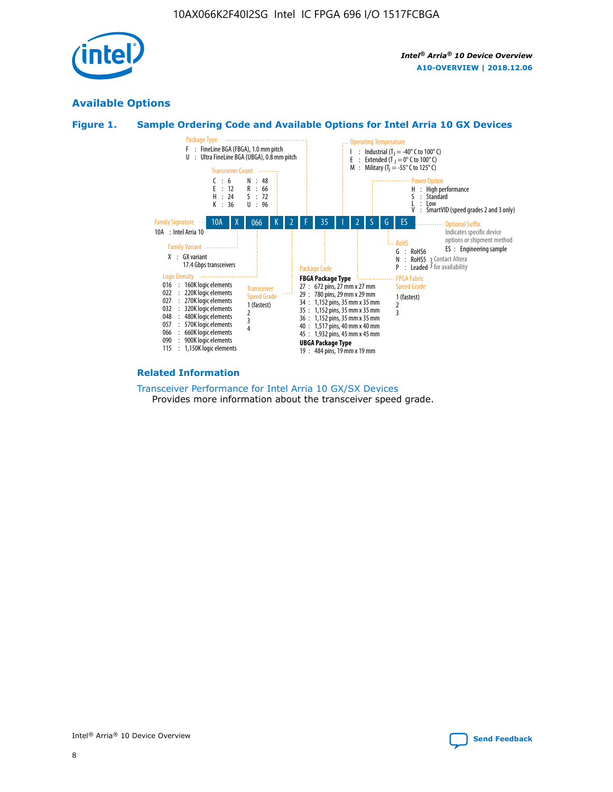

## **Available Options**





#### **Related Information**

[Transceiver Performance for Intel Arria 10 GX/SX Devices](https://www.intel.com/content/www/us/en/programmable/documentation/mcn1413182292568.html#mcn1413213965502) Provides more information about the transceiver speed grade.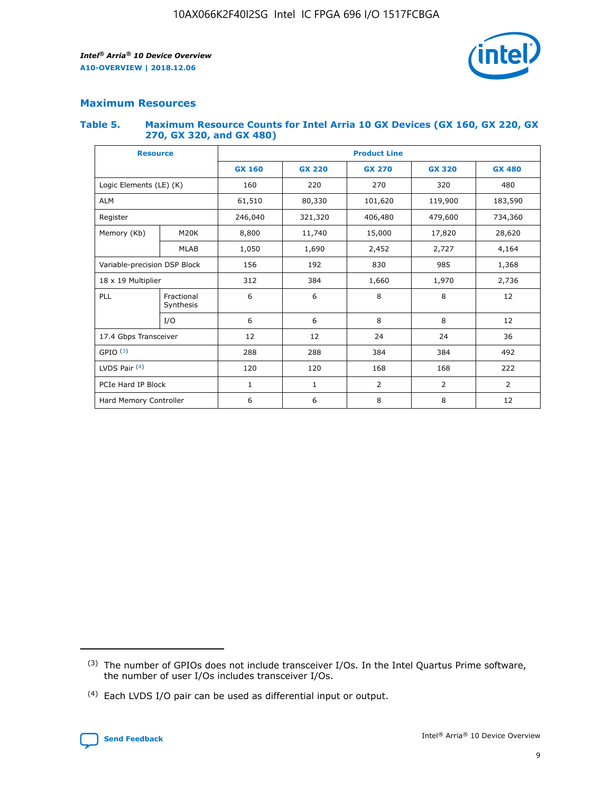

## **Maximum Resources**

#### **Table 5. Maximum Resource Counts for Intel Arria 10 GX Devices (GX 160, GX 220, GX 270, GX 320, and GX 480)**

| <b>Resource</b>         |                                                          | <b>Product Line</b> |                                |                |                |                |  |  |  |
|-------------------------|----------------------------------------------------------|---------------------|--------------------------------|----------------|----------------|----------------|--|--|--|
|                         |                                                          | <b>GX 160</b>       | <b>GX 220</b><br><b>GX 270</b> |                | <b>GX 320</b>  | <b>GX 480</b>  |  |  |  |
| Logic Elements (LE) (K) |                                                          | 160                 | 220                            | 270            | 320            | 480            |  |  |  |
| <b>ALM</b>              |                                                          | 61,510              | 80,330                         | 101,620        | 119,900        | 183,590        |  |  |  |
| Register                |                                                          | 246,040             | 321,320                        | 406,480        | 479,600        | 734,360        |  |  |  |
| Memory (Kb)             | M <sub>20</sub> K                                        | 8,800               | 11,740                         | 15,000         | 17,820         | 28,620         |  |  |  |
|                         | <b>MLAB</b>                                              | 1,050               | 1,690                          | 2,452          | 2,727          | 4,164          |  |  |  |
|                         | 192<br>830<br>985<br>Variable-precision DSP Block<br>156 |                     |                                |                | 1,368          |                |  |  |  |
| 18 x 19 Multiplier      |                                                          | 312                 | 384                            | 1,660          | 1,970          | 2,736          |  |  |  |
| PLL                     | Fractional<br>Synthesis                                  | 6                   | 6                              | 8              | 8              | 12             |  |  |  |
|                         | I/O                                                      | 6                   | 6                              | 8              | 8              | 12             |  |  |  |
| 17.4 Gbps Transceiver   |                                                          | 12                  | 12                             | 24             | 24             | 36             |  |  |  |
| GPIO <sup>(3)</sup>     |                                                          | 288                 | 288                            | 384<br>384     |                | 492            |  |  |  |
| LVDS Pair $(4)$         |                                                          | 120                 | 120                            | 168            | 168            | 222            |  |  |  |
| PCIe Hard IP Block      |                                                          | $\mathbf{1}$        | 1                              | $\overline{2}$ | $\overline{2}$ | $\overline{2}$ |  |  |  |
| Hard Memory Controller  |                                                          | 6                   | 6                              | 8              | 8              | 12             |  |  |  |

<sup>(4)</sup> Each LVDS I/O pair can be used as differential input or output.



<sup>(3)</sup> The number of GPIOs does not include transceiver I/Os. In the Intel Quartus Prime software, the number of user I/Os includes transceiver I/Os.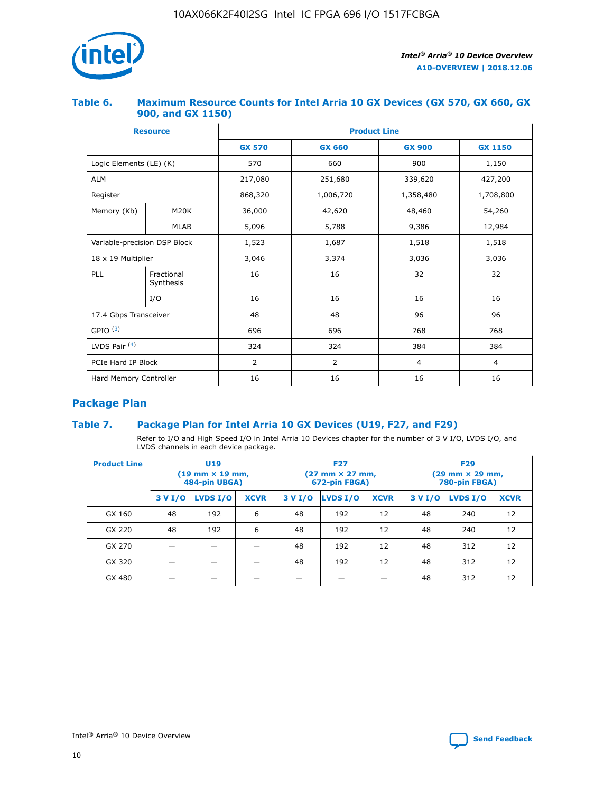

## **Table 6. Maximum Resource Counts for Intel Arria 10 GX Devices (GX 570, GX 660, GX 900, and GX 1150)**

|                              | <b>Resource</b>         | <b>Product Line</b> |               |                |                |  |  |  |
|------------------------------|-------------------------|---------------------|---------------|----------------|----------------|--|--|--|
|                              |                         | <b>GX 570</b>       | <b>GX 660</b> |                | <b>GX 1150</b> |  |  |  |
| Logic Elements (LE) (K)      |                         | 570                 | 660           | 900            | 1,150          |  |  |  |
| <b>ALM</b>                   |                         | 217,080             | 251,680       | 339,620        | 427,200        |  |  |  |
| Register                     |                         | 868,320             | 1,006,720     | 1,358,480      | 1,708,800      |  |  |  |
| Memory (Kb)<br><b>M20K</b>   |                         | 36,000              | 42,620        | 48,460         | 54,260         |  |  |  |
|                              | <b>MLAB</b>             | 5,096               | 5,788         | 9,386          | 12,984         |  |  |  |
| Variable-precision DSP Block |                         | 1,523               | 1,687         | 1,518          | 1,518          |  |  |  |
| $18 \times 19$ Multiplier    |                         | 3,046               | 3,374         | 3,036          | 3,036          |  |  |  |
| PLL                          | Fractional<br>Synthesis | 16                  | 16            | 32             | 32             |  |  |  |
|                              | I/O                     | 16                  | 16            | 16             | 16             |  |  |  |
| 17.4 Gbps Transceiver        |                         | 48                  | 48            | 96             | 96             |  |  |  |
| GPIO <sup>(3)</sup>          |                         | 696                 | 696           | 768            | 768            |  |  |  |
| LVDS Pair $(4)$              |                         | 324                 | 324           | 384            | 384            |  |  |  |
| PCIe Hard IP Block           |                         | 2                   | 2             | $\overline{4}$ | $\overline{4}$ |  |  |  |
| Hard Memory Controller       |                         | 16                  | 16            | 16             | 16             |  |  |  |

## **Package Plan**

## **Table 7. Package Plan for Intel Arria 10 GX Devices (U19, F27, and F29)**

Refer to I/O and High Speed I/O in Intel Arria 10 Devices chapter for the number of 3 V I/O, LVDS I/O, and LVDS channels in each device package.

| <b>Product Line</b> | U <sub>19</sub><br>$(19 \text{ mm} \times 19 \text{ mm})$<br>484-pin UBGA) |          |             |         | <b>F27</b><br>(27 mm × 27 mm,<br>672-pin FBGA) |             | <b>F29</b><br>(29 mm × 29 mm,<br>780-pin FBGA) |          |             |  |
|---------------------|----------------------------------------------------------------------------|----------|-------------|---------|------------------------------------------------|-------------|------------------------------------------------|----------|-------------|--|
|                     | 3 V I/O                                                                    | LVDS I/O | <b>XCVR</b> | 3 V I/O | LVDS I/O                                       | <b>XCVR</b> | 3 V I/O                                        | LVDS I/O | <b>XCVR</b> |  |
| GX 160              | 48                                                                         | 192      | 6           | 48      | 192                                            | 12          | 48                                             | 240      | 12          |  |
| GX 220              | 48                                                                         | 192      | 6           | 48      | 192                                            | 12          | 48                                             | 240      | 12          |  |
| GX 270              |                                                                            |          |             | 48      | 192                                            | 12          | 48                                             | 312      | 12          |  |
| GX 320              |                                                                            |          |             | 48      | 192                                            | 12          | 48                                             | 312      | 12          |  |
| GX 480              |                                                                            |          |             |         |                                                |             | 48                                             | 312      | 12          |  |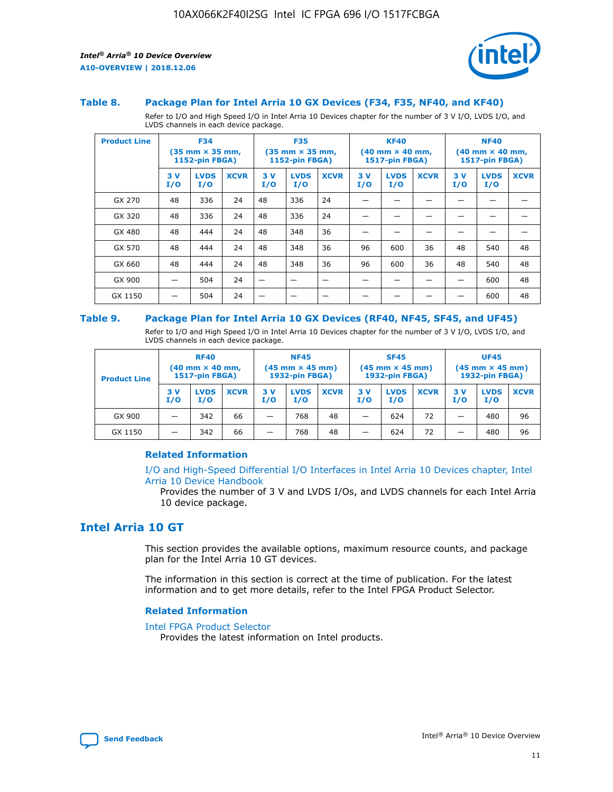



#### **Table 8. Package Plan for Intel Arria 10 GX Devices (F34, F35, NF40, and KF40)**

Refer to I/O and High Speed I/O in Intel Arria 10 Devices chapter for the number of 3 V I/O, LVDS I/O, and LVDS channels in each device package.

| <b>Product Line</b> | <b>F34</b><br>(35 mm × 35 mm,<br><b>1152-pin FBGA)</b> |                    | <b>F35</b><br>$(35$ mm $\times$ 35 mm,<br>1152-pin FBGA) |           | <b>KF40</b><br>$(40 \text{ mm} \times 40 \text{ mm})$<br>1517-pin FBGA) |             |           | <b>NF40</b><br>$(40 \text{ mm} \times 40 \text{ mm})$<br><b>1517-pin FBGA)</b> |             |           |                    |             |
|---------------------|--------------------------------------------------------|--------------------|----------------------------------------------------------|-----------|-------------------------------------------------------------------------|-------------|-----------|--------------------------------------------------------------------------------|-------------|-----------|--------------------|-------------|
|                     | 3V<br>I/O                                              | <b>LVDS</b><br>I/O | <b>XCVR</b>                                              | 3V<br>I/O | <b>LVDS</b><br>I/O                                                      | <b>XCVR</b> | 3V<br>I/O | <b>LVDS</b><br>I/O                                                             | <b>XCVR</b> | 3V<br>I/O | <b>LVDS</b><br>I/O | <b>XCVR</b> |
| GX 270              | 48                                                     | 336                | 24                                                       | 48        | 336                                                                     | 24          |           |                                                                                |             |           |                    |             |
| GX 320              | 48                                                     | 336                | 24                                                       | 48        | 336                                                                     | 24          |           |                                                                                |             |           |                    |             |
| GX 480              | 48                                                     | 444                | 24                                                       | 48        | 348                                                                     | 36          |           |                                                                                |             |           |                    |             |
| GX 570              | 48                                                     | 444                | 24                                                       | 48        | 348                                                                     | 36          | 96        | 600                                                                            | 36          | 48        | 540                | 48          |
| GX 660              | 48                                                     | 444                | 24                                                       | 48        | 348                                                                     | 36          | 96        | 600                                                                            | 36          | 48        | 540                | 48          |
| GX 900              |                                                        | 504                | 24                                                       | -         |                                                                         | -           |           |                                                                                |             |           | 600                | 48          |
| GX 1150             |                                                        | 504                | 24                                                       |           |                                                                         |             |           |                                                                                |             |           | 600                | 48          |

#### **Table 9. Package Plan for Intel Arria 10 GX Devices (RF40, NF45, SF45, and UF45)**

Refer to I/O and High Speed I/O in Intel Arria 10 Devices chapter for the number of 3 V I/O, LVDS I/O, and LVDS channels in each device package.

| <b>Product Line</b> | <b>RF40</b><br>$(40$ mm $\times$ 40 mm,<br>1517-pin FBGA) |                    |             | <b>NF45</b><br>$(45 \text{ mm} \times 45 \text{ mm})$<br><b>1932-pin FBGA)</b> |                    |             | <b>SF45</b><br>$(45 \text{ mm} \times 45 \text{ mm})$<br><b>1932-pin FBGA)</b> |                    |             | <b>UF45</b><br>$(45 \text{ mm} \times 45 \text{ mm})$<br><b>1932-pin FBGA)</b> |                    |             |
|---------------------|-----------------------------------------------------------|--------------------|-------------|--------------------------------------------------------------------------------|--------------------|-------------|--------------------------------------------------------------------------------|--------------------|-------------|--------------------------------------------------------------------------------|--------------------|-------------|
|                     | 3V<br>I/O                                                 | <b>LVDS</b><br>I/O | <b>XCVR</b> | 3 V<br>I/O                                                                     | <b>LVDS</b><br>I/O | <b>XCVR</b> | 3 V<br>I/O                                                                     | <b>LVDS</b><br>I/O | <b>XCVR</b> | 3V<br>I/O                                                                      | <b>LVDS</b><br>I/O | <b>XCVR</b> |
| GX 900              |                                                           | 342                | 66          | _                                                                              | 768                | 48          |                                                                                | 624                | 72          |                                                                                | 480                | 96          |
| GX 1150             |                                                           | 342                | 66          | _                                                                              | 768                | 48          |                                                                                | 624                | 72          |                                                                                | 480                | 96          |

### **Related Information**

[I/O and High-Speed Differential I/O Interfaces in Intel Arria 10 Devices chapter, Intel](https://www.intel.com/content/www/us/en/programmable/documentation/sam1403482614086.html#sam1403482030321) [Arria 10 Device Handbook](https://www.intel.com/content/www/us/en/programmable/documentation/sam1403482614086.html#sam1403482030321)

Provides the number of 3 V and LVDS I/Os, and LVDS channels for each Intel Arria 10 device package.

## **Intel Arria 10 GT**

This section provides the available options, maximum resource counts, and package plan for the Intel Arria 10 GT devices.

The information in this section is correct at the time of publication. For the latest information and to get more details, refer to the Intel FPGA Product Selector.

#### **Related Information**

#### [Intel FPGA Product Selector](http://www.altera.com/products/selector/psg-selector.html)

Provides the latest information on Intel products.

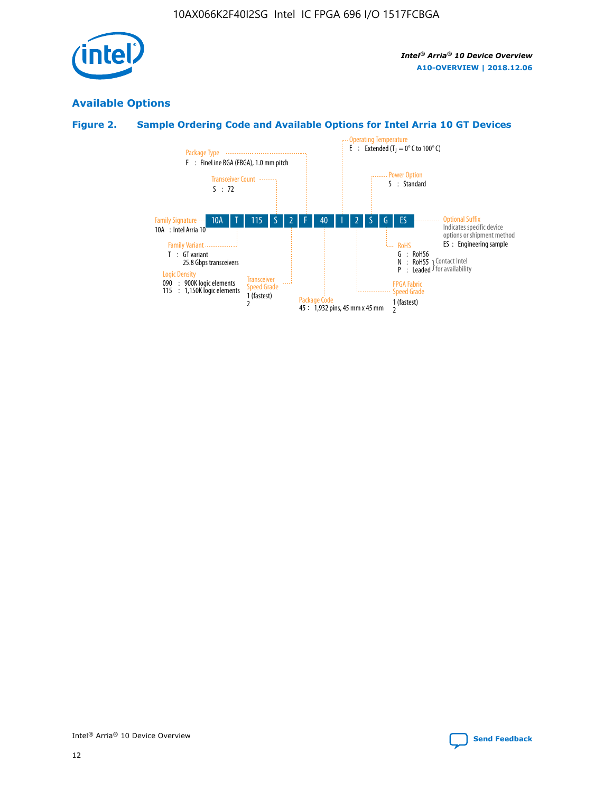

## **Available Options**

## **Figure 2. Sample Ordering Code and Available Options for Intel Arria 10 GT Devices**

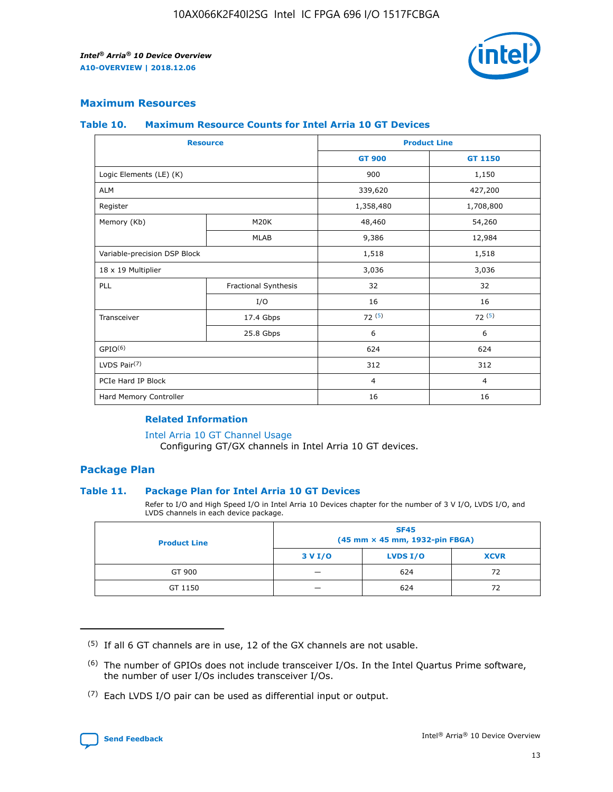

## **Maximum Resources**

#### **Table 10. Maximum Resource Counts for Intel Arria 10 GT Devices**

| <b>Resource</b>              |                      |                | <b>Product Line</b> |  |
|------------------------------|----------------------|----------------|---------------------|--|
|                              |                      | <b>GT 900</b>  | GT 1150             |  |
| Logic Elements (LE) (K)      |                      | 900            | 1,150               |  |
| <b>ALM</b>                   |                      | 339,620        | 427,200             |  |
| Register                     |                      | 1,358,480      | 1,708,800           |  |
| Memory (Kb)                  | M20K                 | 48,460         | 54,260              |  |
|                              | <b>MLAB</b>          | 9,386          | 12,984              |  |
| Variable-precision DSP Block |                      | 1,518          | 1,518               |  |
| 18 x 19 Multiplier           |                      | 3,036          | 3,036               |  |
| PLL                          | Fractional Synthesis | 32             | 32                  |  |
|                              | I/O                  | 16             | 16                  |  |
| Transceiver                  | 17.4 Gbps            | 72(5)          | 72(5)               |  |
|                              | 25.8 Gbps            | 6              | 6                   |  |
| GPIO <sup>(6)</sup>          |                      | 624            | 624                 |  |
| LVDS Pair $(7)$              |                      | 312            | 312                 |  |
| PCIe Hard IP Block           |                      | $\overline{4}$ | $\overline{4}$      |  |
| Hard Memory Controller       |                      | 16             | 16                  |  |

## **Related Information**

#### [Intel Arria 10 GT Channel Usage](https://www.intel.com/content/www/us/en/programmable/documentation/nik1398707230472.html#nik1398707008178)

Configuring GT/GX channels in Intel Arria 10 GT devices.

## **Package Plan**

### **Table 11. Package Plan for Intel Arria 10 GT Devices**

Refer to I/O and High Speed I/O in Intel Arria 10 Devices chapter for the number of 3 V I/O, LVDS I/O, and LVDS channels in each device package.

| <b>Product Line</b> | <b>SF45</b><br>(45 mm × 45 mm, 1932-pin FBGA) |                 |             |  |  |  |
|---------------------|-----------------------------------------------|-----------------|-------------|--|--|--|
|                     | 3 V I/O                                       | <b>LVDS I/O</b> | <b>XCVR</b> |  |  |  |
| GT 900              |                                               | 624             | 72          |  |  |  |
| GT 1150             |                                               | 624             | 72          |  |  |  |

<sup>(7)</sup> Each LVDS I/O pair can be used as differential input or output.



 $(5)$  If all 6 GT channels are in use, 12 of the GX channels are not usable.

<sup>(6)</sup> The number of GPIOs does not include transceiver I/Os. In the Intel Quartus Prime software, the number of user I/Os includes transceiver I/Os.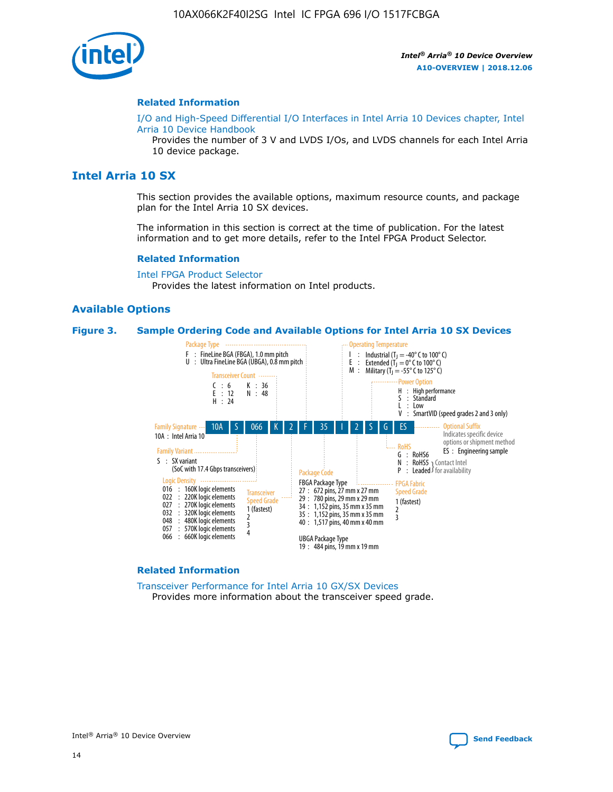

#### **Related Information**

[I/O and High-Speed Differential I/O Interfaces in Intel Arria 10 Devices chapter, Intel](https://www.intel.com/content/www/us/en/programmable/documentation/sam1403482614086.html#sam1403482030321) [Arria 10 Device Handbook](https://www.intel.com/content/www/us/en/programmable/documentation/sam1403482614086.html#sam1403482030321)

Provides the number of 3 V and LVDS I/Os, and LVDS channels for each Intel Arria 10 device package.

## **Intel Arria 10 SX**

This section provides the available options, maximum resource counts, and package plan for the Intel Arria 10 SX devices.

The information in this section is correct at the time of publication. For the latest information and to get more details, refer to the Intel FPGA Product Selector.

#### **Related Information**

[Intel FPGA Product Selector](http://www.altera.com/products/selector/psg-selector.html) Provides the latest information on Intel products.

#### **Available Options**

#### **Figure 3. Sample Ordering Code and Available Options for Intel Arria 10 SX Devices**



#### **Related Information**

[Transceiver Performance for Intel Arria 10 GX/SX Devices](https://www.intel.com/content/www/us/en/programmable/documentation/mcn1413182292568.html#mcn1413213965502) Provides more information about the transceiver speed grade.

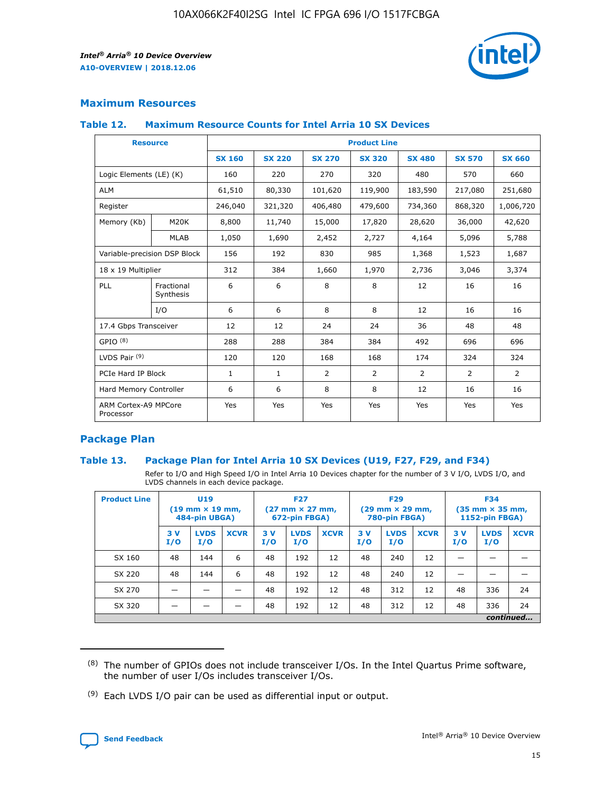

## **Maximum Resources**

#### **Table 12. Maximum Resource Counts for Intel Arria 10 SX Devices**

|                                   | <b>Resource</b>         | <b>Product Line</b> |               |                |                |                |                |                |  |  |  |
|-----------------------------------|-------------------------|---------------------|---------------|----------------|----------------|----------------|----------------|----------------|--|--|--|
|                                   |                         | <b>SX 160</b>       | <b>SX 220</b> | <b>SX 270</b>  | <b>SX 320</b>  | <b>SX 480</b>  | <b>SX 570</b>  | <b>SX 660</b>  |  |  |  |
| Logic Elements (LE) (K)           |                         | 160                 | 220           | 270            | 320            | 480            | 570            | 660            |  |  |  |
| <b>ALM</b>                        |                         | 61,510              | 80,330        | 101,620        | 119,900        | 183,590        | 217,080        | 251,680        |  |  |  |
| Register                          |                         | 246,040             | 321,320       | 406,480        | 479,600        | 734,360        | 868,320        | 1,006,720      |  |  |  |
| Memory (Kb)                       | <b>M20K</b>             | 8,800               | 11,740        | 15,000         | 17,820         | 28,620         | 36,000         | 42,620         |  |  |  |
|                                   | <b>MLAB</b>             | 1,050               | 1,690         | 2,452          | 2,727          | 4,164          | 5,096          | 5,788          |  |  |  |
| Variable-precision DSP Block      |                         | 156                 | 192           | 830            | 985            | 1,368          | 1,523          | 1,687          |  |  |  |
| 18 x 19 Multiplier                |                         | 312                 | 384           | 1,660          | 1,970          | 2,736          | 3,046          | 3,374          |  |  |  |
| <b>PLL</b>                        | Fractional<br>Synthesis | 6                   | 6             | 8              | 8              | 12             | 16             | 16             |  |  |  |
|                                   | I/O                     | 6                   | 6             | 8              | 8              | 12             | 16             | 16             |  |  |  |
| 17.4 Gbps Transceiver             |                         | 12                  | 12            | 24             | 24             | 36             | 48             | 48             |  |  |  |
| GPIO <sup>(8)</sup>               |                         | 288                 | 288           | 384            | 384            | 492            | 696            | 696            |  |  |  |
| LVDS Pair $(9)$                   |                         | 120                 | 120           | 168            | 168            | 174            | 324            | 324            |  |  |  |
| PCIe Hard IP Block                |                         | $\mathbf{1}$        | $\mathbf{1}$  | $\overline{2}$ | $\overline{2}$ | $\overline{2}$ | $\overline{2}$ | $\overline{2}$ |  |  |  |
| Hard Memory Controller            |                         | 6                   | 6             | 8              | 8              | 12             | 16             | 16             |  |  |  |
| ARM Cortex-A9 MPCore<br>Processor |                         | Yes                 | Yes           | Yes            | Yes            | Yes            | Yes            | Yes            |  |  |  |

## **Package Plan**

### **Table 13. Package Plan for Intel Arria 10 SX Devices (U19, F27, F29, and F34)**

Refer to I/O and High Speed I/O in Intel Arria 10 Devices chapter for the number of 3 V I/O, LVDS I/O, and LVDS channels in each device package.

| <b>Product Line</b> | <b>U19</b><br>$(19$ mm $\times$ 19 mm,<br>484-pin UBGA) |                    |             | <b>F27</b><br>$(27 \text{ mm} \times 27 \text{ mm})$<br>672-pin FBGA) |                    | <b>F29</b><br>$(29 \text{ mm} \times 29 \text{ mm})$<br>780-pin FBGA) |           |                    | <b>F34</b><br>$(35 \text{ mm} \times 35 \text{ mm})$<br><b>1152-pin FBGA)</b> |           |                    |             |
|---------------------|---------------------------------------------------------|--------------------|-------------|-----------------------------------------------------------------------|--------------------|-----------------------------------------------------------------------|-----------|--------------------|-------------------------------------------------------------------------------|-----------|--------------------|-------------|
|                     | 3V<br>I/O                                               | <b>LVDS</b><br>I/O | <b>XCVR</b> | 3V<br>I/O                                                             | <b>LVDS</b><br>I/O | <b>XCVR</b>                                                           | 3V<br>I/O | <b>LVDS</b><br>I/O | <b>XCVR</b>                                                                   | 3V<br>I/O | <b>LVDS</b><br>I/O | <b>XCVR</b> |
| SX 160              | 48                                                      | 144                | 6           | 48                                                                    | 192                | 12                                                                    | 48        | 240                | 12                                                                            | -         |                    |             |
| SX 220              | 48                                                      | 144                | 6           | 48                                                                    | 192                | 12                                                                    | 48        | 240                | 12                                                                            |           |                    |             |
| SX 270              |                                                         |                    |             | 48                                                                    | 192                | 12                                                                    | 48        | 312                | 12                                                                            | 48        | 336                | 24          |
| SX 320              |                                                         |                    |             | 48                                                                    | 192                | 12                                                                    | 48        | 312                | 12                                                                            | 48        | 336                | 24          |
|                     | continued                                               |                    |             |                                                                       |                    |                                                                       |           |                    |                                                                               |           |                    |             |

 $(8)$  The number of GPIOs does not include transceiver I/Os. In the Intel Quartus Prime software, the number of user I/Os includes transceiver I/Os.

 $(9)$  Each LVDS I/O pair can be used as differential input or output.

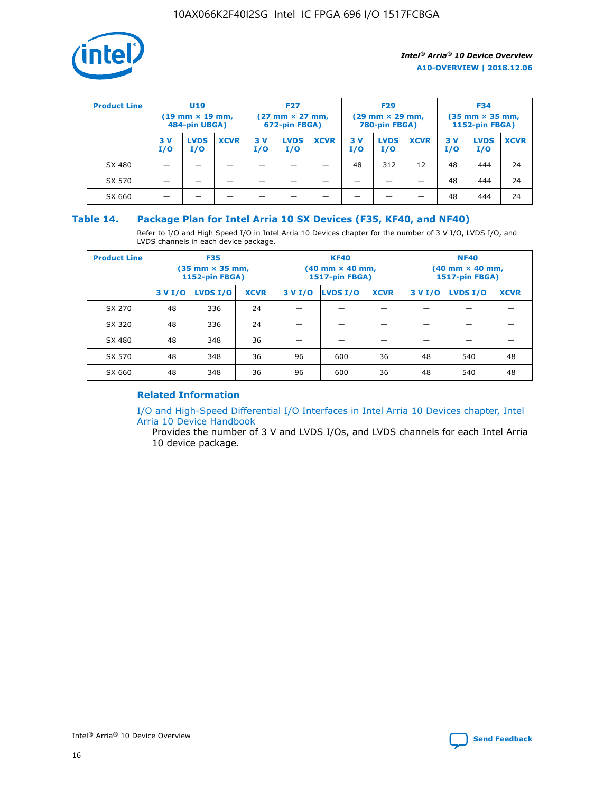

| <b>Product Line</b> | U <sub>19</sub><br>$(19$ mm $\times$ 19 mm,<br>484-pin UBGA) |                    | <b>F27</b><br>$(27 \text{ mm} \times 27 \text{ mm})$<br>672-pin FBGA) |           |                    | <b>F29</b><br>$(29 \text{ mm} \times 29 \text{ mm})$<br>780-pin FBGA) |           |                    | <b>F34</b><br>$(35$ mm $\times$ 35 mm,<br><b>1152-pin FBGA)</b> |           |                    |             |
|---------------------|--------------------------------------------------------------|--------------------|-----------------------------------------------------------------------|-----------|--------------------|-----------------------------------------------------------------------|-----------|--------------------|-----------------------------------------------------------------|-----------|--------------------|-------------|
|                     | 3 V<br>I/O                                                   | <b>LVDS</b><br>I/O | <b>XCVR</b>                                                           | 3V<br>I/O | <b>LVDS</b><br>I/O | <b>XCVR</b>                                                           | 3V<br>I/O | <b>LVDS</b><br>I/O | <b>XCVR</b>                                                     | 3V<br>I/O | <b>LVDS</b><br>I/O | <b>XCVR</b> |
| SX 480              |                                                              |                    |                                                                       |           |                    |                                                                       | 48        | 312                | 12                                                              | 48        | 444                | 24          |
| SX 570              |                                                              |                    |                                                                       |           |                    |                                                                       |           |                    |                                                                 | 48        | 444                | 24          |
| SX 660              |                                                              |                    |                                                                       |           |                    |                                                                       |           |                    |                                                                 | 48        | 444                | 24          |

## **Table 14. Package Plan for Intel Arria 10 SX Devices (F35, KF40, and NF40)**

Refer to I/O and High Speed I/O in Intel Arria 10 Devices chapter for the number of 3 V I/O, LVDS I/O, and LVDS channels in each device package.

| <b>Product Line</b> | <b>F35</b><br>(35 mm × 35 mm,<br><b>1152-pin FBGA)</b> |          |             |                                           | <b>KF40</b><br>(40 mm × 40 mm,<br>1517-pin FBGA) |    | <b>NF40</b><br>$(40 \text{ mm} \times 40 \text{ mm})$<br>1517-pin FBGA) |          |             |  |
|---------------------|--------------------------------------------------------|----------|-------------|-------------------------------------------|--------------------------------------------------|----|-------------------------------------------------------------------------|----------|-------------|--|
|                     | 3 V I/O                                                | LVDS I/O | <b>XCVR</b> | <b>LVDS I/O</b><br>3 V I/O<br><b>XCVR</b> |                                                  |    | 3 V I/O                                                                 | LVDS I/O | <b>XCVR</b> |  |
| SX 270              | 48                                                     | 336      | 24          |                                           |                                                  |    |                                                                         |          |             |  |
| SX 320              | 48                                                     | 336      | 24          |                                           |                                                  |    |                                                                         |          |             |  |
| SX 480              | 48                                                     | 348      | 36          |                                           |                                                  |    |                                                                         |          |             |  |
| SX 570              | 48                                                     | 348      | 36          | 96                                        | 600                                              | 36 | 48                                                                      | 540      | 48          |  |
| SX 660              | 48                                                     | 348      | 36          | 96                                        | 600                                              | 36 | 48                                                                      | 540      | 48          |  |

## **Related Information**

[I/O and High-Speed Differential I/O Interfaces in Intel Arria 10 Devices chapter, Intel](https://www.intel.com/content/www/us/en/programmable/documentation/sam1403482614086.html#sam1403482030321) [Arria 10 Device Handbook](https://www.intel.com/content/www/us/en/programmable/documentation/sam1403482614086.html#sam1403482030321)

Provides the number of 3 V and LVDS I/Os, and LVDS channels for each Intel Arria 10 device package.

Intel<sup>®</sup> Arria<sup>®</sup> 10 Device Overview **[Send Feedback](mailto:FPGAtechdocfeedback@intel.com?subject=Feedback%20on%20Intel%20Arria%2010%20Device%20Overview%20(A10-OVERVIEW%202018.12.06)&body=We%20appreciate%20your%20feedback.%20In%20your%20comments,%20also%20specify%20the%20page%20number%20or%20paragraph.%20Thank%20you.)** Send Feedback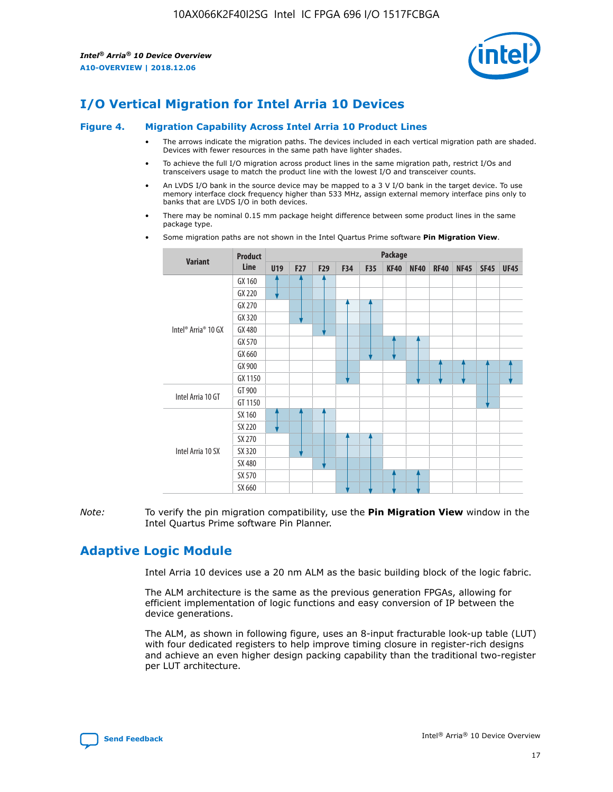

# **I/O Vertical Migration for Intel Arria 10 Devices**

#### **Figure 4. Migration Capability Across Intel Arria 10 Product Lines**

- The arrows indicate the migration paths. The devices included in each vertical migration path are shaded. Devices with fewer resources in the same path have lighter shades.
- To achieve the full I/O migration across product lines in the same migration path, restrict I/Os and transceivers usage to match the product line with the lowest I/O and transceiver counts.
- An LVDS I/O bank in the source device may be mapped to a 3 V I/O bank in the target device. To use memory interface clock frequency higher than 533 MHz, assign external memory interface pins only to banks that are LVDS I/O in both devices.
- There may be nominal 0.15 mm package height difference between some product lines in the same package type.
	- **Variant Product Line Package U19 F27 F29 F34 F35 KF40 NF40 RF40 NF45 SF45 UF45** Intel® Arria® 10 GX GX 160 GX 220 GX 270 GX 320 GX 480 GX 570 GX 660 GX 900 GX 1150 Intel Arria 10 GT GT 900 GT 1150 Intel Arria 10 SX SX 160 SX 220 SX 270 SX 320 SX 480 SX 570 SX 660
- Some migration paths are not shown in the Intel Quartus Prime software **Pin Migration View**.

*Note:* To verify the pin migration compatibility, use the **Pin Migration View** window in the Intel Quartus Prime software Pin Planner.

## **Adaptive Logic Module**

Intel Arria 10 devices use a 20 nm ALM as the basic building block of the logic fabric.

The ALM architecture is the same as the previous generation FPGAs, allowing for efficient implementation of logic functions and easy conversion of IP between the device generations.

The ALM, as shown in following figure, uses an 8-input fracturable look-up table (LUT) with four dedicated registers to help improve timing closure in register-rich designs and achieve an even higher design packing capability than the traditional two-register per LUT architecture.

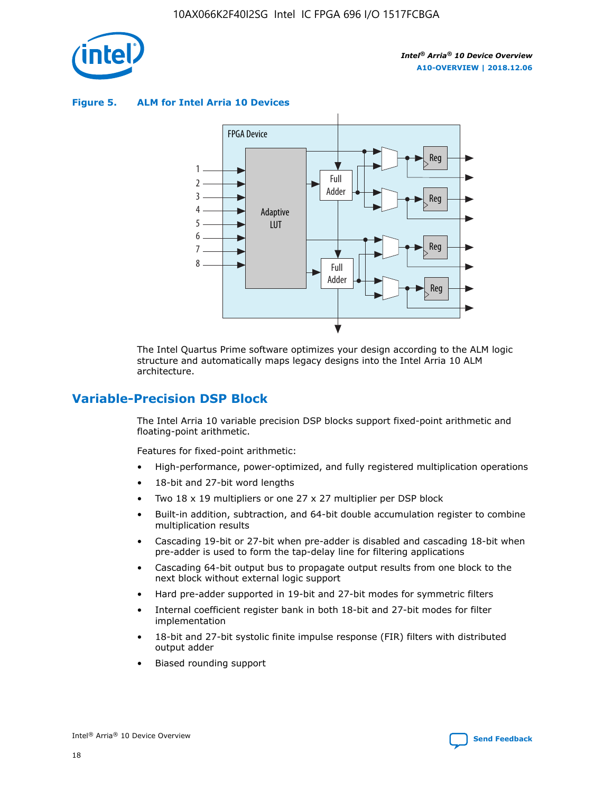

**Figure 5. ALM for Intel Arria 10 Devices**



The Intel Quartus Prime software optimizes your design according to the ALM logic structure and automatically maps legacy designs into the Intel Arria 10 ALM architecture.

## **Variable-Precision DSP Block**

The Intel Arria 10 variable precision DSP blocks support fixed-point arithmetic and floating-point arithmetic.

Features for fixed-point arithmetic:

- High-performance, power-optimized, and fully registered multiplication operations
- 18-bit and 27-bit word lengths
- Two 18 x 19 multipliers or one 27 x 27 multiplier per DSP block
- Built-in addition, subtraction, and 64-bit double accumulation register to combine multiplication results
- Cascading 19-bit or 27-bit when pre-adder is disabled and cascading 18-bit when pre-adder is used to form the tap-delay line for filtering applications
- Cascading 64-bit output bus to propagate output results from one block to the next block without external logic support
- Hard pre-adder supported in 19-bit and 27-bit modes for symmetric filters
- Internal coefficient register bank in both 18-bit and 27-bit modes for filter implementation
- 18-bit and 27-bit systolic finite impulse response (FIR) filters with distributed output adder
- Biased rounding support

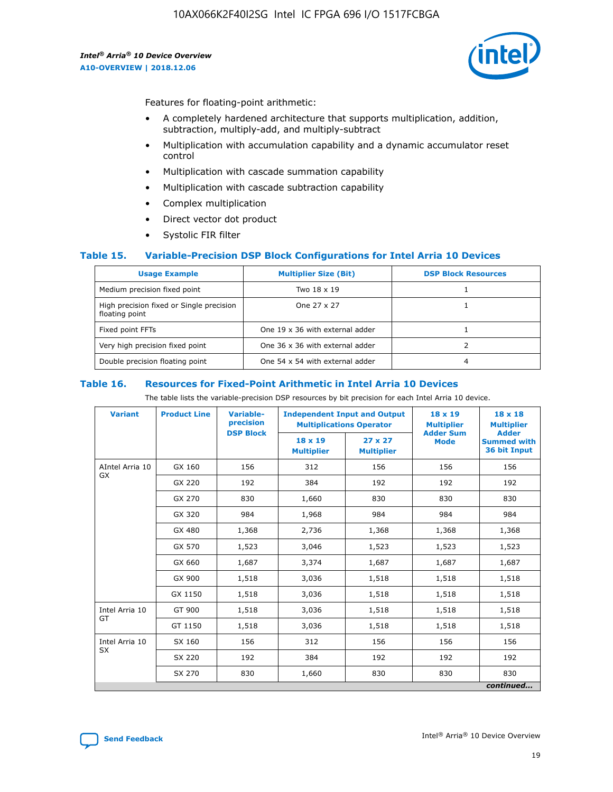

Features for floating-point arithmetic:

- A completely hardened architecture that supports multiplication, addition, subtraction, multiply-add, and multiply-subtract
- Multiplication with accumulation capability and a dynamic accumulator reset control
- Multiplication with cascade summation capability
- Multiplication with cascade subtraction capability
- Complex multiplication
- Direct vector dot product
- Systolic FIR filter

### **Table 15. Variable-Precision DSP Block Configurations for Intel Arria 10 Devices**

| <b>Usage Example</b>                                       | <b>Multiplier Size (Bit)</b>    | <b>DSP Block Resources</b> |
|------------------------------------------------------------|---------------------------------|----------------------------|
| Medium precision fixed point                               | Two 18 x 19                     |                            |
| High precision fixed or Single precision<br>floating point | One 27 x 27                     |                            |
| Fixed point FFTs                                           | One 19 x 36 with external adder |                            |
| Very high precision fixed point                            | One 36 x 36 with external adder |                            |
| Double precision floating point                            | One 54 x 54 with external adder | 4                          |

#### **Table 16. Resources for Fixed-Point Arithmetic in Intel Arria 10 Devices**

The table lists the variable-precision DSP resources by bit precision for each Intel Arria 10 device.

| <b>Variant</b>        | <b>Product Line</b> | <b>Variable-</b><br>precision<br><b>DSP Block</b> | <b>Independent Input and Output</b><br><b>Multiplications Operator</b> |                                     | 18 x 19<br><b>Multiplier</b><br><b>Adder Sum</b> | $18 \times 18$<br><b>Multiplier</b><br><b>Adder</b> |
|-----------------------|---------------------|---------------------------------------------------|------------------------------------------------------------------------|-------------------------------------|--------------------------------------------------|-----------------------------------------------------|
|                       |                     |                                                   | 18 x 19<br><b>Multiplier</b>                                           | $27 \times 27$<br><b>Multiplier</b> | <b>Mode</b>                                      | <b>Summed with</b><br>36 bit Input                  |
| AIntel Arria 10<br>GX | GX 160              | 156                                               | 312                                                                    | 156                                 | 156                                              | 156                                                 |
|                       | GX 220              | 192                                               | 384                                                                    | 192                                 | 192                                              | 192                                                 |
|                       | GX 270              | 830                                               | 1,660                                                                  | 830                                 | 830                                              | 830                                                 |
|                       | GX 320              | 984                                               | 1,968                                                                  | 984                                 | 984                                              | 984                                                 |
|                       | GX 480              | 1,368                                             | 2,736                                                                  | 1,368                               | 1,368                                            | 1,368                                               |
|                       | GX 570              | 1,523                                             | 3,046                                                                  | 1,523                               | 1,523                                            | 1,523                                               |
|                       | GX 660              | 1,687                                             | 3,374                                                                  | 1,687                               | 1,687                                            | 1,687                                               |
|                       | GX 900              | 1,518                                             | 3,036                                                                  | 1,518                               | 1,518                                            | 1,518                                               |
|                       | GX 1150             | 1,518                                             | 3,036                                                                  | 1,518                               | 1,518                                            | 1,518                                               |
| Intel Arria 10        | GT 900              | 1,518                                             | 3,036                                                                  | 1,518                               | 1,518                                            | 1,518                                               |
| GT                    | GT 1150             | 1,518                                             | 3,036                                                                  | 1,518                               | 1,518                                            | 1,518                                               |
| Intel Arria 10        | SX 160              | 156                                               | 312                                                                    | 156                                 | 156                                              | 156                                                 |
| <b>SX</b>             | SX 220              | 192                                               | 384                                                                    | 192                                 | 192                                              | 192                                                 |
|                       | SX 270              | 830                                               | 1,660                                                                  | 830                                 | 830                                              | 830                                                 |
|                       |                     |                                                   |                                                                        |                                     |                                                  | continued                                           |

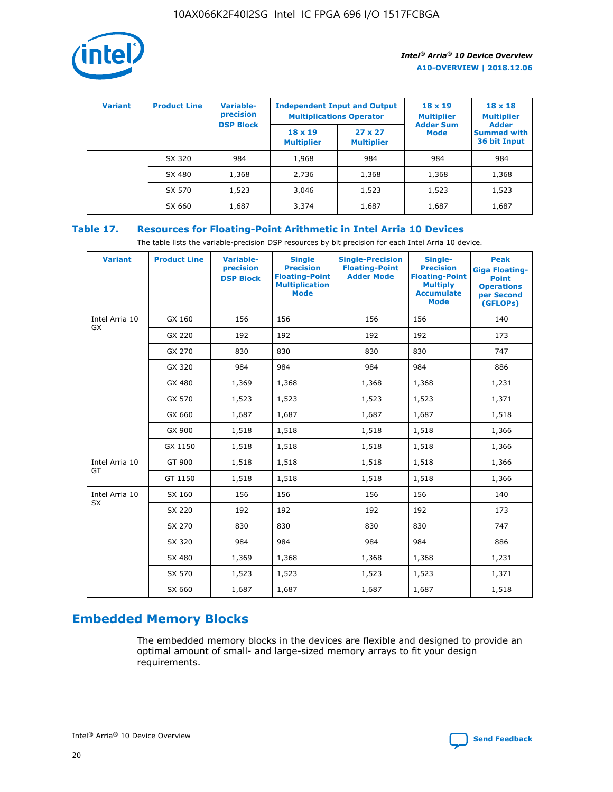

| <b>Variant</b> | <b>Product Line</b> | <b>Variable-</b><br>precision<br><b>DSP Block</b> | <b>Independent Input and Output</b><br><b>Multiplications Operator</b> |                                     | $18 \times 19$<br><b>Multiplier</b><br><b>Adder Sum</b> | $18 \times 18$<br><b>Multiplier</b><br><b>Adder</b> |  |
|----------------|---------------------|---------------------------------------------------|------------------------------------------------------------------------|-------------------------------------|---------------------------------------------------------|-----------------------------------------------------|--|
|                |                     |                                                   | $18 \times 19$<br><b>Multiplier</b>                                    | $27 \times 27$<br><b>Multiplier</b> | <b>Mode</b>                                             | <b>Summed with</b><br>36 bit Input                  |  |
|                | SX 320              | 984                                               | 1,968                                                                  | 984                                 | 984                                                     | 984                                                 |  |
|                | SX 480              | 1,368                                             | 2,736                                                                  | 1,368                               | 1,368                                                   | 1,368                                               |  |
|                | SX 570              | 1,523                                             | 3,046                                                                  | 1,523                               | 1,523                                                   | 1,523                                               |  |
|                | SX 660              | 1,687                                             | 3,374                                                                  | 1,687                               | 1,687                                                   | 1,687                                               |  |

## **Table 17. Resources for Floating-Point Arithmetic in Intel Arria 10 Devices**

The table lists the variable-precision DSP resources by bit precision for each Intel Arria 10 device.

| <b>Variant</b> | <b>Product Line</b> | <b>Variable-</b><br>precision<br><b>DSP Block</b> | <b>Single</b><br><b>Precision</b><br><b>Floating-Point</b><br><b>Multiplication</b><br><b>Mode</b> | <b>Single-Precision</b><br><b>Floating-Point</b><br><b>Adder Mode</b> | Single-<br><b>Precision</b><br><b>Floating-Point</b><br><b>Multiply</b><br><b>Accumulate</b><br><b>Mode</b> | <b>Peak</b><br><b>Giga Floating-</b><br><b>Point</b><br><b>Operations</b><br>per Second<br>(GFLOPs) |
|----------------|---------------------|---------------------------------------------------|----------------------------------------------------------------------------------------------------|-----------------------------------------------------------------------|-------------------------------------------------------------------------------------------------------------|-----------------------------------------------------------------------------------------------------|
| Intel Arria 10 | GX 160              | 156                                               | 156                                                                                                | 156                                                                   | 156                                                                                                         | 140                                                                                                 |
| GX             | GX 220              | 192                                               | 192                                                                                                | 192                                                                   | 192                                                                                                         | 173                                                                                                 |
|                | GX 270              | 830                                               | 830                                                                                                | 830                                                                   | 830                                                                                                         | 747                                                                                                 |
|                | GX 320              | 984                                               | 984                                                                                                | 984                                                                   | 984                                                                                                         | 886                                                                                                 |
|                | GX 480              | 1,369                                             | 1,368                                                                                              | 1,368                                                                 | 1,368                                                                                                       | 1,231                                                                                               |
|                | GX 570              | 1,523                                             | 1,523                                                                                              | 1,523                                                                 | 1,523                                                                                                       | 1,371                                                                                               |
|                | GX 660              | 1,687                                             | 1,687                                                                                              | 1,687                                                                 | 1,687                                                                                                       | 1,518                                                                                               |
|                | GX 900              | 1,518                                             | 1,518                                                                                              | 1,518                                                                 | 1,518                                                                                                       | 1,366                                                                                               |
|                | GX 1150             | 1,518                                             | 1,518                                                                                              | 1,518                                                                 | 1,518                                                                                                       | 1,366                                                                                               |
| Intel Arria 10 | GT 900              | 1,518                                             | 1,518                                                                                              | 1,518                                                                 | 1,518                                                                                                       | 1,366                                                                                               |
| GT             | GT 1150             | 1,518                                             | 1,518                                                                                              | 1,518                                                                 | 1,518                                                                                                       | 1,366                                                                                               |
| Intel Arria 10 | SX 160              | 156                                               | 156                                                                                                | 156                                                                   | 156                                                                                                         | 140                                                                                                 |
| <b>SX</b>      | SX 220              | 192                                               | 192                                                                                                | 192                                                                   | 192                                                                                                         | 173                                                                                                 |
|                | SX 270              | 830                                               | 830                                                                                                | 830                                                                   | 830                                                                                                         | 747                                                                                                 |
|                | SX 320              | 984                                               | 984                                                                                                | 984                                                                   | 984                                                                                                         | 886                                                                                                 |
|                | SX 480              | 1,369                                             | 1,368                                                                                              | 1,368                                                                 | 1,368                                                                                                       | 1,231                                                                                               |
|                | SX 570              | 1,523                                             | 1,523                                                                                              | 1,523                                                                 | 1,523                                                                                                       | 1,371                                                                                               |
|                | SX 660              | 1,687                                             | 1,687                                                                                              | 1,687                                                                 | 1,687                                                                                                       | 1,518                                                                                               |

# **Embedded Memory Blocks**

The embedded memory blocks in the devices are flexible and designed to provide an optimal amount of small- and large-sized memory arrays to fit your design requirements.

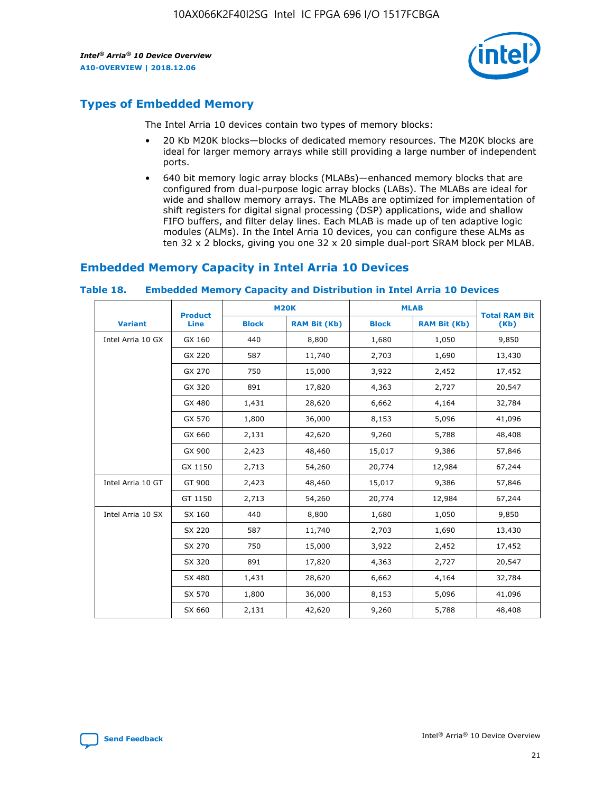

## **Types of Embedded Memory**

The Intel Arria 10 devices contain two types of memory blocks:

- 20 Kb M20K blocks—blocks of dedicated memory resources. The M20K blocks are ideal for larger memory arrays while still providing a large number of independent ports.
- 640 bit memory logic array blocks (MLABs)—enhanced memory blocks that are configured from dual-purpose logic array blocks (LABs). The MLABs are ideal for wide and shallow memory arrays. The MLABs are optimized for implementation of shift registers for digital signal processing (DSP) applications, wide and shallow FIFO buffers, and filter delay lines. Each MLAB is made up of ten adaptive logic modules (ALMs). In the Intel Arria 10 devices, you can configure these ALMs as ten 32 x 2 blocks, giving you one 32 x 20 simple dual-port SRAM block per MLAB.

## **Embedded Memory Capacity in Intel Arria 10 Devices**

|                   | <b>Product</b> |              | <b>M20K</b>         | <b>MLAB</b>  |                     | <b>Total RAM Bit</b> |
|-------------------|----------------|--------------|---------------------|--------------|---------------------|----------------------|
| <b>Variant</b>    | <b>Line</b>    | <b>Block</b> | <b>RAM Bit (Kb)</b> | <b>Block</b> | <b>RAM Bit (Kb)</b> | (Kb)                 |
| Intel Arria 10 GX | GX 160         | 440          | 8,800               | 1,680        | 1,050               | 9,850                |
|                   | GX 220         | 587          | 11,740              | 2,703        | 1,690               | 13,430               |
|                   | GX 270         | 750          | 15,000              | 3,922        | 2,452               | 17,452               |
|                   | GX 320         | 891          | 17,820              | 4,363        | 2,727               | 20,547               |
|                   | GX 480         | 1,431        | 28,620              | 6,662        | 4,164               | 32,784               |
|                   | GX 570         | 1,800        | 36,000              | 8,153        | 5,096               | 41,096               |
|                   | GX 660         | 2,131        | 42,620              | 9,260        | 5,788               | 48,408               |
|                   | GX 900         | 2,423        | 48,460              | 15,017       | 9,386               | 57,846               |
|                   | GX 1150        | 2,713        | 54,260              | 20,774       | 12,984              | 67,244               |
| Intel Arria 10 GT | GT 900         | 2,423        | 48,460              | 15,017       | 9,386               | 57,846               |
|                   | GT 1150        | 2,713        | 54,260              | 20,774       | 12,984              | 67,244               |
| Intel Arria 10 SX | SX 160         | 440          | 8,800               | 1,680        | 1,050               | 9,850                |
|                   | SX 220         | 587          | 11,740              | 2,703        | 1,690               | 13,430               |
|                   | SX 270         | 750          | 15,000              | 3,922        | 2,452               | 17,452               |
|                   | SX 320         | 891          | 17,820              | 4,363        | 2,727               | 20,547               |
|                   | SX 480         | 1,431        | 28,620              | 6,662        | 4,164               | 32,784               |
|                   | SX 570         | 1,800        | 36,000              | 8,153        | 5,096               | 41,096               |
|                   | SX 660         | 2,131        | 42,620              | 9,260        | 5,788               | 48,408               |

#### **Table 18. Embedded Memory Capacity and Distribution in Intel Arria 10 Devices**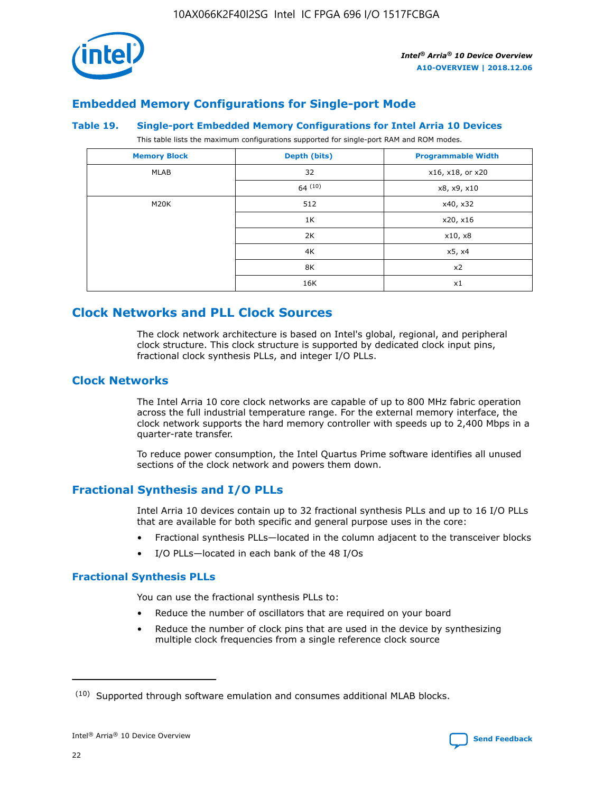

## **Embedded Memory Configurations for Single-port Mode**

#### **Table 19. Single-port Embedded Memory Configurations for Intel Arria 10 Devices**

This table lists the maximum configurations supported for single-port RAM and ROM modes.

| <b>Memory Block</b> | Depth (bits) | <b>Programmable Width</b> |
|---------------------|--------------|---------------------------|
| MLAB                | 32           | x16, x18, or x20          |
|                     | 64(10)       | x8, x9, x10               |
| M20K                | 512          | x40, x32                  |
|                     | 1K           | x20, x16                  |
|                     | 2K           | x10, x8                   |
|                     | 4K           | x5, x4                    |
|                     | 8K           | x2                        |
|                     | 16K          | x1                        |

## **Clock Networks and PLL Clock Sources**

The clock network architecture is based on Intel's global, regional, and peripheral clock structure. This clock structure is supported by dedicated clock input pins, fractional clock synthesis PLLs, and integer I/O PLLs.

## **Clock Networks**

The Intel Arria 10 core clock networks are capable of up to 800 MHz fabric operation across the full industrial temperature range. For the external memory interface, the clock network supports the hard memory controller with speeds up to 2,400 Mbps in a quarter-rate transfer.

To reduce power consumption, the Intel Quartus Prime software identifies all unused sections of the clock network and powers them down.

## **Fractional Synthesis and I/O PLLs**

Intel Arria 10 devices contain up to 32 fractional synthesis PLLs and up to 16 I/O PLLs that are available for both specific and general purpose uses in the core:

- Fractional synthesis PLLs—located in the column adjacent to the transceiver blocks
- I/O PLLs—located in each bank of the 48 I/Os

## **Fractional Synthesis PLLs**

You can use the fractional synthesis PLLs to:

- Reduce the number of oscillators that are required on your board
- Reduce the number of clock pins that are used in the device by synthesizing multiple clock frequencies from a single reference clock source

<sup>(10)</sup> Supported through software emulation and consumes additional MLAB blocks.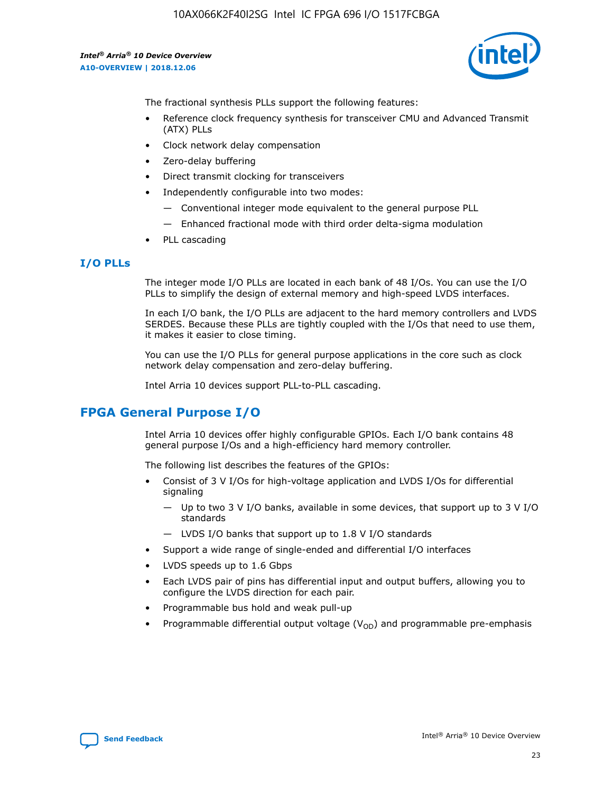

The fractional synthesis PLLs support the following features:

- Reference clock frequency synthesis for transceiver CMU and Advanced Transmit (ATX) PLLs
- Clock network delay compensation
- Zero-delay buffering
- Direct transmit clocking for transceivers
- Independently configurable into two modes:
	- Conventional integer mode equivalent to the general purpose PLL
	- Enhanced fractional mode with third order delta-sigma modulation
- PLL cascading

### **I/O PLLs**

The integer mode I/O PLLs are located in each bank of 48 I/Os. You can use the I/O PLLs to simplify the design of external memory and high-speed LVDS interfaces.

In each I/O bank, the I/O PLLs are adjacent to the hard memory controllers and LVDS SERDES. Because these PLLs are tightly coupled with the I/Os that need to use them, it makes it easier to close timing.

You can use the I/O PLLs for general purpose applications in the core such as clock network delay compensation and zero-delay buffering.

Intel Arria 10 devices support PLL-to-PLL cascading.

## **FPGA General Purpose I/O**

Intel Arria 10 devices offer highly configurable GPIOs. Each I/O bank contains 48 general purpose I/Os and a high-efficiency hard memory controller.

The following list describes the features of the GPIOs:

- Consist of 3 V I/Os for high-voltage application and LVDS I/Os for differential signaling
	- Up to two 3 V I/O banks, available in some devices, that support up to 3 V I/O standards
	- LVDS I/O banks that support up to 1.8 V I/O standards
- Support a wide range of single-ended and differential I/O interfaces
- LVDS speeds up to 1.6 Gbps
- Each LVDS pair of pins has differential input and output buffers, allowing you to configure the LVDS direction for each pair.
- Programmable bus hold and weak pull-up
- Programmable differential output voltage  $(V_{OD})$  and programmable pre-emphasis

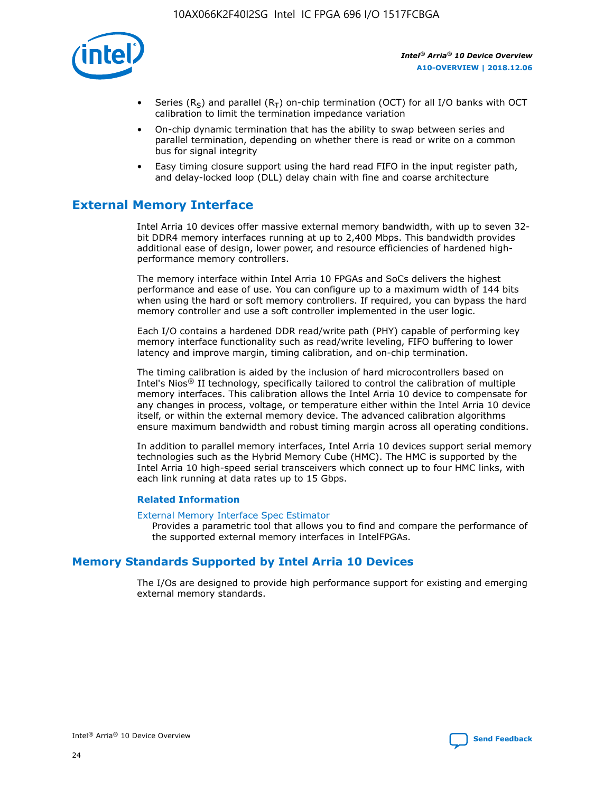

- Series (R<sub>S</sub>) and parallel (R<sub>T</sub>) on-chip termination (OCT) for all I/O banks with OCT calibration to limit the termination impedance variation
- On-chip dynamic termination that has the ability to swap between series and parallel termination, depending on whether there is read or write on a common bus for signal integrity
- Easy timing closure support using the hard read FIFO in the input register path, and delay-locked loop (DLL) delay chain with fine and coarse architecture

## **External Memory Interface**

Intel Arria 10 devices offer massive external memory bandwidth, with up to seven 32 bit DDR4 memory interfaces running at up to 2,400 Mbps. This bandwidth provides additional ease of design, lower power, and resource efficiencies of hardened highperformance memory controllers.

The memory interface within Intel Arria 10 FPGAs and SoCs delivers the highest performance and ease of use. You can configure up to a maximum width of 144 bits when using the hard or soft memory controllers. If required, you can bypass the hard memory controller and use a soft controller implemented in the user logic.

Each I/O contains a hardened DDR read/write path (PHY) capable of performing key memory interface functionality such as read/write leveling, FIFO buffering to lower latency and improve margin, timing calibration, and on-chip termination.

The timing calibration is aided by the inclusion of hard microcontrollers based on Intel's Nios® II technology, specifically tailored to control the calibration of multiple memory interfaces. This calibration allows the Intel Arria 10 device to compensate for any changes in process, voltage, or temperature either within the Intel Arria 10 device itself, or within the external memory device. The advanced calibration algorithms ensure maximum bandwidth and robust timing margin across all operating conditions.

In addition to parallel memory interfaces, Intel Arria 10 devices support serial memory technologies such as the Hybrid Memory Cube (HMC). The HMC is supported by the Intel Arria 10 high-speed serial transceivers which connect up to four HMC links, with each link running at data rates up to 15 Gbps.

### **Related Information**

#### [External Memory Interface Spec Estimator](http://www.altera.com/technology/memory/estimator/mem-emif-index.html)

Provides a parametric tool that allows you to find and compare the performance of the supported external memory interfaces in IntelFPGAs.

## **Memory Standards Supported by Intel Arria 10 Devices**

The I/Os are designed to provide high performance support for existing and emerging external memory standards.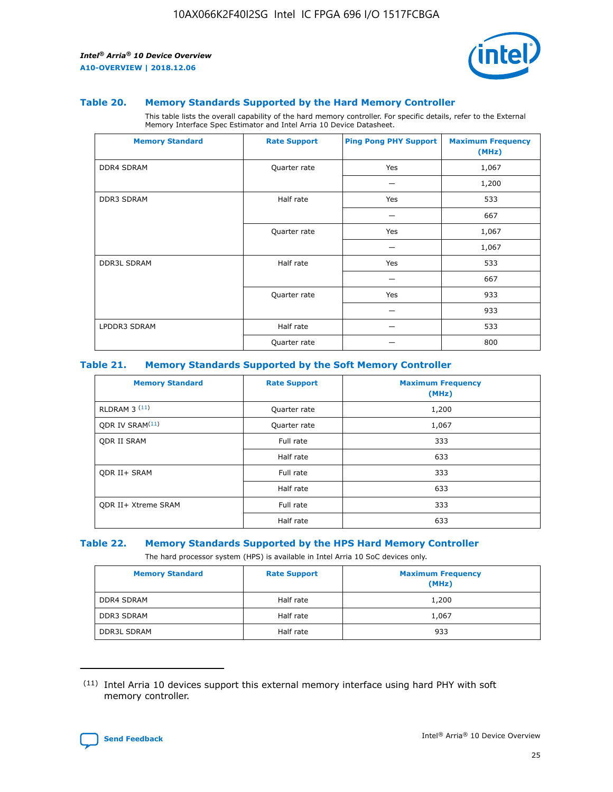

#### **Table 20. Memory Standards Supported by the Hard Memory Controller**

This table lists the overall capability of the hard memory controller. For specific details, refer to the External Memory Interface Spec Estimator and Intel Arria 10 Device Datasheet.

| <b>Memory Standard</b> | <b>Rate Support</b> | <b>Ping Pong PHY Support</b> | <b>Maximum Frequency</b><br>(MHz) |
|------------------------|---------------------|------------------------------|-----------------------------------|
| <b>DDR4 SDRAM</b>      | Quarter rate        | Yes                          | 1,067                             |
|                        |                     |                              | 1,200                             |
| DDR3 SDRAM             | Half rate           | Yes                          | 533                               |
|                        |                     |                              | 667                               |
|                        | Quarter rate        | Yes                          | 1,067                             |
|                        |                     |                              | 1,067                             |
| <b>DDR3L SDRAM</b>     | Half rate           | Yes                          | 533                               |
|                        |                     |                              | 667                               |
|                        | Quarter rate        | Yes                          | 933                               |
|                        |                     |                              | 933                               |
| LPDDR3 SDRAM           | Half rate           |                              | 533                               |
|                        | Quarter rate        |                              | 800                               |

### **Table 21. Memory Standards Supported by the Soft Memory Controller**

| <b>Memory Standard</b>      | <b>Rate Support</b> | <b>Maximum Frequency</b><br>(MHz) |
|-----------------------------|---------------------|-----------------------------------|
| <b>RLDRAM 3 (11)</b>        | Quarter rate        | 1,200                             |
| ODR IV SRAM <sup>(11)</sup> | Quarter rate        | 1,067                             |
| <b>ODR II SRAM</b>          | Full rate           | 333                               |
|                             | Half rate           | 633                               |
| <b>ODR II+ SRAM</b>         | Full rate           | 333                               |
|                             | Half rate           | 633                               |
| <b>ODR II+ Xtreme SRAM</b>  | Full rate           | 333                               |
|                             | Half rate           | 633                               |

#### **Table 22. Memory Standards Supported by the HPS Hard Memory Controller**

The hard processor system (HPS) is available in Intel Arria 10 SoC devices only.

| <b>Memory Standard</b> | <b>Rate Support</b> | <b>Maximum Frequency</b><br>(MHz) |
|------------------------|---------------------|-----------------------------------|
| <b>DDR4 SDRAM</b>      | Half rate           | 1,200                             |
| <b>DDR3 SDRAM</b>      | Half rate           | 1,067                             |
| <b>DDR3L SDRAM</b>     | Half rate           | 933                               |

<sup>(11)</sup> Intel Arria 10 devices support this external memory interface using hard PHY with soft memory controller.

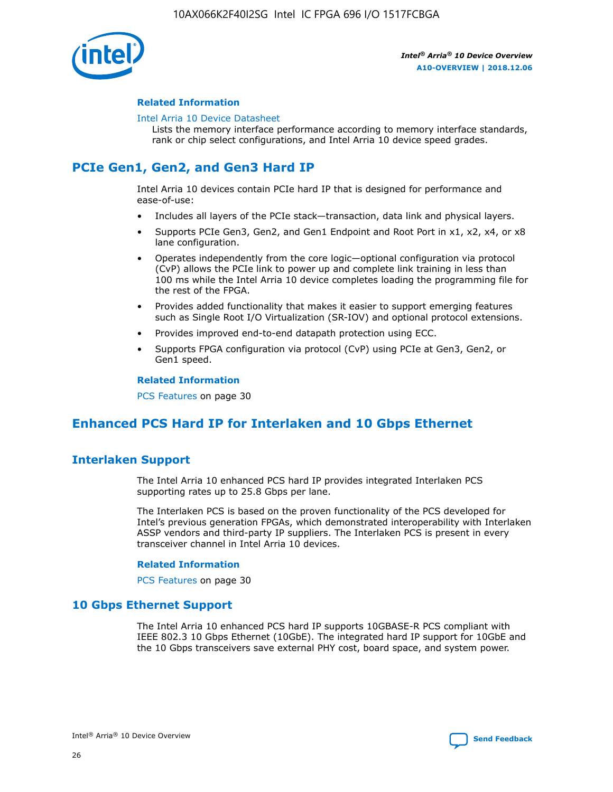

### **Related Information**

#### [Intel Arria 10 Device Datasheet](https://www.intel.com/content/www/us/en/programmable/documentation/mcn1413182292568.html#mcn1413182153340)

Lists the memory interface performance according to memory interface standards, rank or chip select configurations, and Intel Arria 10 device speed grades.

# **PCIe Gen1, Gen2, and Gen3 Hard IP**

Intel Arria 10 devices contain PCIe hard IP that is designed for performance and ease-of-use:

- Includes all layers of the PCIe stack—transaction, data link and physical layers.
- Supports PCIe Gen3, Gen2, and Gen1 Endpoint and Root Port in x1, x2, x4, or x8 lane configuration.
- Operates independently from the core logic—optional configuration via protocol (CvP) allows the PCIe link to power up and complete link training in less than 100 ms while the Intel Arria 10 device completes loading the programming file for the rest of the FPGA.
- Provides added functionality that makes it easier to support emerging features such as Single Root I/O Virtualization (SR-IOV) and optional protocol extensions.
- Provides improved end-to-end datapath protection using ECC.
- Supports FPGA configuration via protocol (CvP) using PCIe at Gen3, Gen2, or Gen1 speed.

#### **Related Information**

PCS Features on page 30

## **Enhanced PCS Hard IP for Interlaken and 10 Gbps Ethernet**

## **Interlaken Support**

The Intel Arria 10 enhanced PCS hard IP provides integrated Interlaken PCS supporting rates up to 25.8 Gbps per lane.

The Interlaken PCS is based on the proven functionality of the PCS developed for Intel's previous generation FPGAs, which demonstrated interoperability with Interlaken ASSP vendors and third-party IP suppliers. The Interlaken PCS is present in every transceiver channel in Intel Arria 10 devices.

### **Related Information**

PCS Features on page 30

## **10 Gbps Ethernet Support**

The Intel Arria 10 enhanced PCS hard IP supports 10GBASE-R PCS compliant with IEEE 802.3 10 Gbps Ethernet (10GbE). The integrated hard IP support for 10GbE and the 10 Gbps transceivers save external PHY cost, board space, and system power.

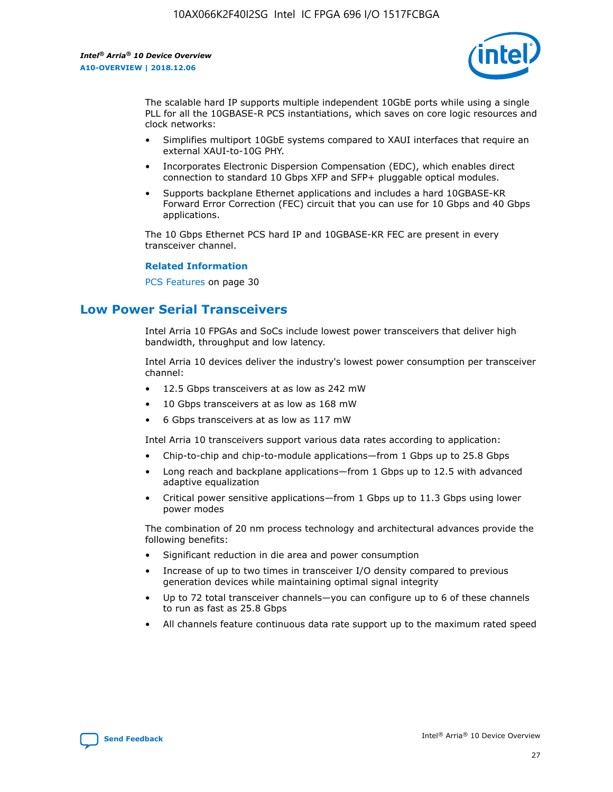

The scalable hard IP supports multiple independent 10GbE ports while using a single PLL for all the 10GBASE-R PCS instantiations, which saves on core logic resources and clock networks:

- Simplifies multiport 10GbE systems compared to XAUI interfaces that require an external XAUI-to-10G PHY.
- Incorporates Electronic Dispersion Compensation (EDC), which enables direct connection to standard 10 Gbps XFP and SFP+ pluggable optical modules.
- Supports backplane Ethernet applications and includes a hard 10GBASE-KR Forward Error Correction (FEC) circuit that you can use for 10 Gbps and 40 Gbps applications.

The 10 Gbps Ethernet PCS hard IP and 10GBASE-KR FEC are present in every transceiver channel.

### **Related Information**

PCS Features on page 30

## **Low Power Serial Transceivers**

Intel Arria 10 FPGAs and SoCs include lowest power transceivers that deliver high bandwidth, throughput and low latency.

Intel Arria 10 devices deliver the industry's lowest power consumption per transceiver channel:

- 12.5 Gbps transceivers at as low as 242 mW
- 10 Gbps transceivers at as low as 168 mW
- 6 Gbps transceivers at as low as 117 mW

Intel Arria 10 transceivers support various data rates according to application:

- Chip-to-chip and chip-to-module applications—from 1 Gbps up to 25.8 Gbps
- Long reach and backplane applications—from 1 Gbps up to 12.5 with advanced adaptive equalization
- Critical power sensitive applications—from 1 Gbps up to 11.3 Gbps using lower power modes

The combination of 20 nm process technology and architectural advances provide the following benefits:

- Significant reduction in die area and power consumption
- Increase of up to two times in transceiver I/O density compared to previous generation devices while maintaining optimal signal integrity
- Up to 72 total transceiver channels—you can configure up to 6 of these channels to run as fast as 25.8 Gbps
- All channels feature continuous data rate support up to the maximum rated speed

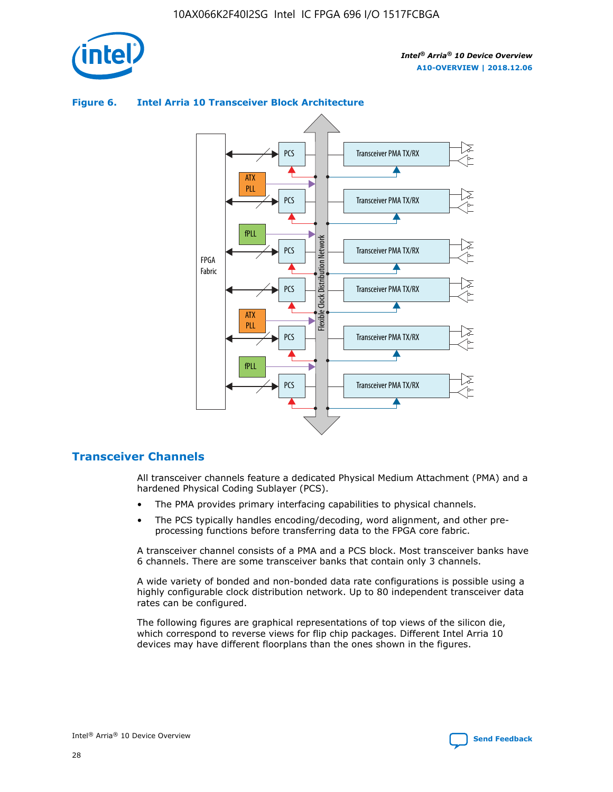

## Transceiver PMA TX/RX PCS ATX PLL Transceiver PMA TX/RX PCS fPLL Network Flexible Clock Distribution Network PCS Transceiver PMA TX/RX FPGA **Clock Distribution** Fabric PCS Transceiver PMA TX/RX ATX Flexible PLL PCS Transceiver PMA TX/RX ▲ fPLL Transceiver PMA TX/RX PCS 4

## **Figure 6. Intel Arria 10 Transceiver Block Architecture**

## **Transceiver Channels**

All transceiver channels feature a dedicated Physical Medium Attachment (PMA) and a hardened Physical Coding Sublayer (PCS).

- The PMA provides primary interfacing capabilities to physical channels.
- The PCS typically handles encoding/decoding, word alignment, and other preprocessing functions before transferring data to the FPGA core fabric.

A transceiver channel consists of a PMA and a PCS block. Most transceiver banks have 6 channels. There are some transceiver banks that contain only 3 channels.

A wide variety of bonded and non-bonded data rate configurations is possible using a highly configurable clock distribution network. Up to 80 independent transceiver data rates can be configured.

The following figures are graphical representations of top views of the silicon die, which correspond to reverse views for flip chip packages. Different Intel Arria 10 devices may have different floorplans than the ones shown in the figures.

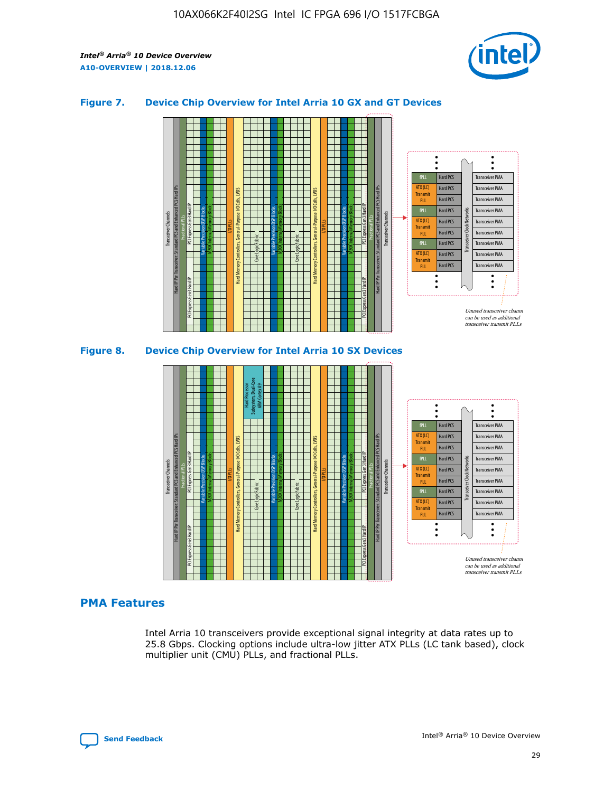

## **Figure 7. Device Chip Overview for Intel Arria 10 GX and GT Devices**



M20K Internal Memory Blocks Core Logic Fabric Transceiver Channels Hard IP Per Transceiver: Standard PCS and Enhanced PCS Hard IPs PCI Express Gen3 Hard IP Fractional PLLs M20K Internal Memory Blocks PCI Express Gen3 Hard IP Variable Precision DSP Blocks I/O PLLs Hard Memory Controllers, General-Purpose I/O Cells, LVDS Hard Processor Subsystem, Dual-Core ARM Cortex A9 M20K Internal Memory Blocks Variable Precision DSP Blocks M20K Internal Memory Blocks Core Logic Fabric I/O PLLs Hard Memory Controllers, General-Purpose I/O Cells, LVDS M20K Internal Memory Blocks Variable Precision DSP Blocks M20K Internal Memory Blocks Transceiver Channels Hard IP Per Transceiver: Standard PCS and Enhanced PCS Hard IPs PCI Express Gen3 Hard IP Fractional PLLs PCI Express Gen3 Hard IP  $\ddot{\cdot}$ Hard PCS Transceiver PMA fPLL ATX (LC) Hard PCS Transceiver PMA **Transmit** Hard PCS Transceiver PMA PLL fPLL Hard PCS Transceiver PMA Transceiver Clock Networks ATX (LC) Hard PCS Transceiver PMA Transmi Hard PCS Transceiver PMA PLL fPLL Hard PCS Transceiver PMA Transceiver PMA Hard PCS ATX (LC) **Transmit** Hard PCS Transceiver PMA PLL Unused transceiver chann can be used as additional transceiver transmit PLLs

## **PMA Features**

Intel Arria 10 transceivers provide exceptional signal integrity at data rates up to 25.8 Gbps. Clocking options include ultra-low jitter ATX PLLs (LC tank based), clock multiplier unit (CMU) PLLs, and fractional PLLs.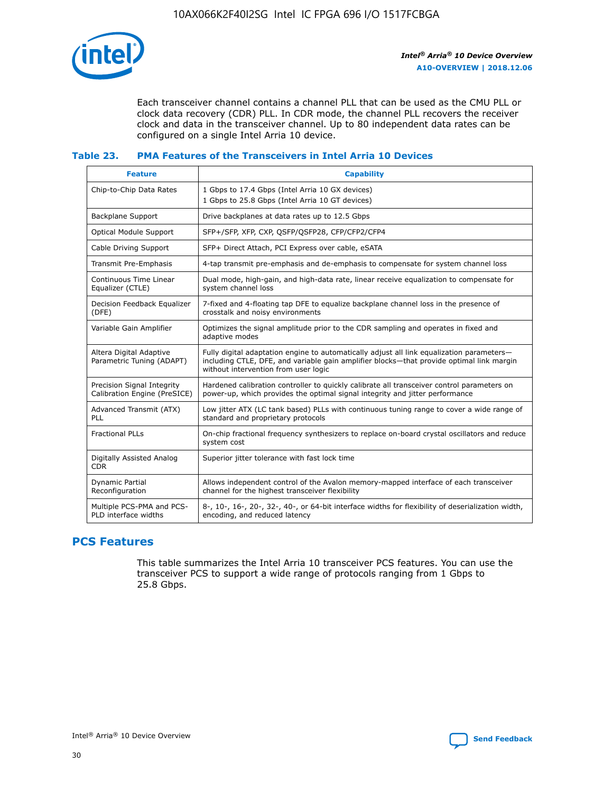

Each transceiver channel contains a channel PLL that can be used as the CMU PLL or clock data recovery (CDR) PLL. In CDR mode, the channel PLL recovers the receiver clock and data in the transceiver channel. Up to 80 independent data rates can be configured on a single Intel Arria 10 device.

## **Table 23. PMA Features of the Transceivers in Intel Arria 10 Devices**

| <b>Feature</b>                                             | <b>Capability</b>                                                                                                                                                                                                             |
|------------------------------------------------------------|-------------------------------------------------------------------------------------------------------------------------------------------------------------------------------------------------------------------------------|
| Chip-to-Chip Data Rates                                    | 1 Gbps to 17.4 Gbps (Intel Arria 10 GX devices)<br>1 Gbps to 25.8 Gbps (Intel Arria 10 GT devices)                                                                                                                            |
| <b>Backplane Support</b>                                   | Drive backplanes at data rates up to 12.5 Gbps                                                                                                                                                                                |
| <b>Optical Module Support</b>                              | SFP+/SFP, XFP, CXP, QSFP/QSFP28, CFP/CFP2/CFP4                                                                                                                                                                                |
| Cable Driving Support                                      | SFP+ Direct Attach, PCI Express over cable, eSATA                                                                                                                                                                             |
| Transmit Pre-Emphasis                                      | 4-tap transmit pre-emphasis and de-emphasis to compensate for system channel loss                                                                                                                                             |
| Continuous Time Linear<br>Equalizer (CTLE)                 | Dual mode, high-gain, and high-data rate, linear receive equalization to compensate for<br>system channel loss                                                                                                                |
| Decision Feedback Equalizer<br>(DFE)                       | 7-fixed and 4-floating tap DFE to equalize backplane channel loss in the presence of<br>crosstalk and noisy environments                                                                                                      |
| Variable Gain Amplifier                                    | Optimizes the signal amplitude prior to the CDR sampling and operates in fixed and<br>adaptive modes                                                                                                                          |
| Altera Digital Adaptive<br>Parametric Tuning (ADAPT)       | Fully digital adaptation engine to automatically adjust all link equalization parameters-<br>including CTLE, DFE, and variable gain amplifier blocks—that provide optimal link margin<br>without intervention from user logic |
| Precision Signal Integrity<br>Calibration Engine (PreSICE) | Hardened calibration controller to quickly calibrate all transceiver control parameters on<br>power-up, which provides the optimal signal integrity and jitter performance                                                    |
| Advanced Transmit (ATX)<br>PLL                             | Low jitter ATX (LC tank based) PLLs with continuous tuning range to cover a wide range of<br>standard and proprietary protocols                                                                                               |
| <b>Fractional PLLs</b>                                     | On-chip fractional frequency synthesizers to replace on-board crystal oscillators and reduce<br>system cost                                                                                                                   |
| Digitally Assisted Analog<br><b>CDR</b>                    | Superior jitter tolerance with fast lock time                                                                                                                                                                                 |
| <b>Dynamic Partial</b><br>Reconfiguration                  | Allows independent control of the Avalon memory-mapped interface of each transceiver<br>channel for the highest transceiver flexibility                                                                                       |
| Multiple PCS-PMA and PCS-<br>PLD interface widths          | 8-, 10-, 16-, 20-, 32-, 40-, or 64-bit interface widths for flexibility of deserialization width,<br>encoding, and reduced latency                                                                                            |

## **PCS Features**

This table summarizes the Intel Arria 10 transceiver PCS features. You can use the transceiver PCS to support a wide range of protocols ranging from 1 Gbps to 25.8 Gbps.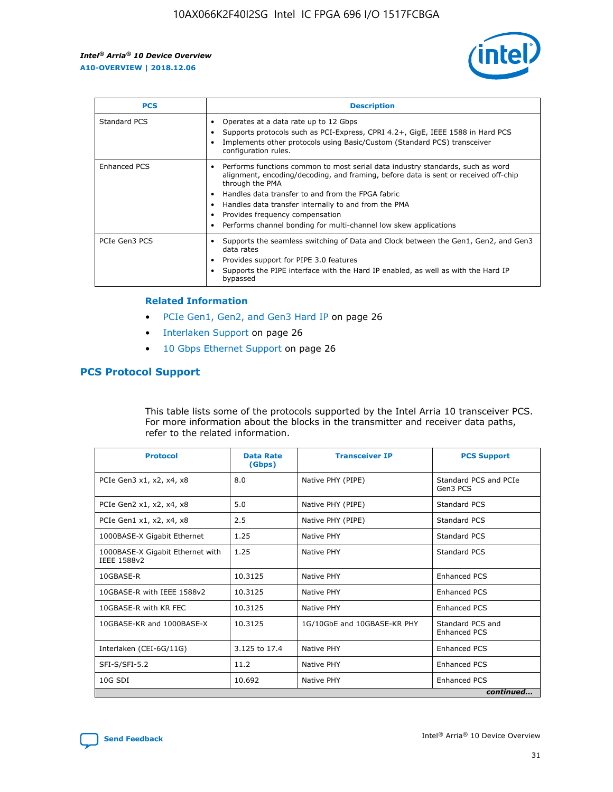

| <b>PCS</b>    | <b>Description</b>                                                                                                                                                                                                                                                                                                                                                                                             |
|---------------|----------------------------------------------------------------------------------------------------------------------------------------------------------------------------------------------------------------------------------------------------------------------------------------------------------------------------------------------------------------------------------------------------------------|
| Standard PCS  | Operates at a data rate up to 12 Gbps<br>Supports protocols such as PCI-Express, CPRI 4.2+, GigE, IEEE 1588 in Hard PCS<br>Implements other protocols using Basic/Custom (Standard PCS) transceiver<br>configuration rules.                                                                                                                                                                                    |
| Enhanced PCS  | Performs functions common to most serial data industry standards, such as word<br>alignment, encoding/decoding, and framing, before data is sent or received off-chip<br>through the PMA<br>• Handles data transfer to and from the FPGA fabric<br>Handles data transfer internally to and from the PMA<br>Provides frequency compensation<br>Performs channel bonding for multi-channel low skew applications |
| PCIe Gen3 PCS | Supports the seamless switching of Data and Clock between the Gen1, Gen2, and Gen3<br>data rates<br>Provides support for PIPE 3.0 features<br>Supports the PIPE interface with the Hard IP enabled, as well as with the Hard IP<br>bypassed                                                                                                                                                                    |

#### **Related Information**

- PCIe Gen1, Gen2, and Gen3 Hard IP on page 26
- Interlaken Support on page 26
- 10 Gbps Ethernet Support on page 26

## **PCS Protocol Support**

This table lists some of the protocols supported by the Intel Arria 10 transceiver PCS. For more information about the blocks in the transmitter and receiver data paths, refer to the related information.

| <b>Protocol</b>                                 | <b>Data Rate</b><br>(Gbps) | <b>Transceiver IP</b>       | <b>PCS Support</b>                      |
|-------------------------------------------------|----------------------------|-----------------------------|-----------------------------------------|
| PCIe Gen3 x1, x2, x4, x8                        | 8.0                        | Native PHY (PIPE)           | Standard PCS and PCIe<br>Gen3 PCS       |
| PCIe Gen2 x1, x2, x4, x8                        | 5.0                        | Native PHY (PIPE)           | <b>Standard PCS</b>                     |
| PCIe Gen1 x1, x2, x4, x8                        | 2.5                        | Native PHY (PIPE)           | Standard PCS                            |
| 1000BASE-X Gigabit Ethernet                     | 1.25                       | Native PHY                  | <b>Standard PCS</b>                     |
| 1000BASE-X Gigabit Ethernet with<br>IEEE 1588v2 | 1.25                       | Native PHY                  | Standard PCS                            |
| 10GBASE-R                                       | 10.3125                    | Native PHY                  | <b>Enhanced PCS</b>                     |
| 10GBASE-R with IEEE 1588v2                      | 10.3125                    | Native PHY                  | <b>Enhanced PCS</b>                     |
| 10GBASE-R with KR FEC                           | 10.3125                    | Native PHY                  | <b>Enhanced PCS</b>                     |
| 10GBASE-KR and 1000BASE-X                       | 10.3125                    | 1G/10GbE and 10GBASE-KR PHY | Standard PCS and<br><b>Enhanced PCS</b> |
| Interlaken (CEI-6G/11G)                         | 3.125 to 17.4              | Native PHY                  | <b>Enhanced PCS</b>                     |
| SFI-S/SFI-5.2                                   | 11.2                       | Native PHY                  | <b>Enhanced PCS</b>                     |
| $10G$ SDI                                       | 10.692                     | Native PHY                  | <b>Enhanced PCS</b>                     |
|                                                 |                            |                             | continued                               |



**[Send Feedback](mailto:FPGAtechdocfeedback@intel.com?subject=Feedback%20on%20Intel%20Arria%2010%20Device%20Overview%20(A10-OVERVIEW%202018.12.06)&body=We%20appreciate%20your%20feedback.%20In%20your%20comments,%20also%20specify%20the%20page%20number%20or%20paragraph.%20Thank%20you.) Intel®** Arria<sup>®</sup> 10 Device Overview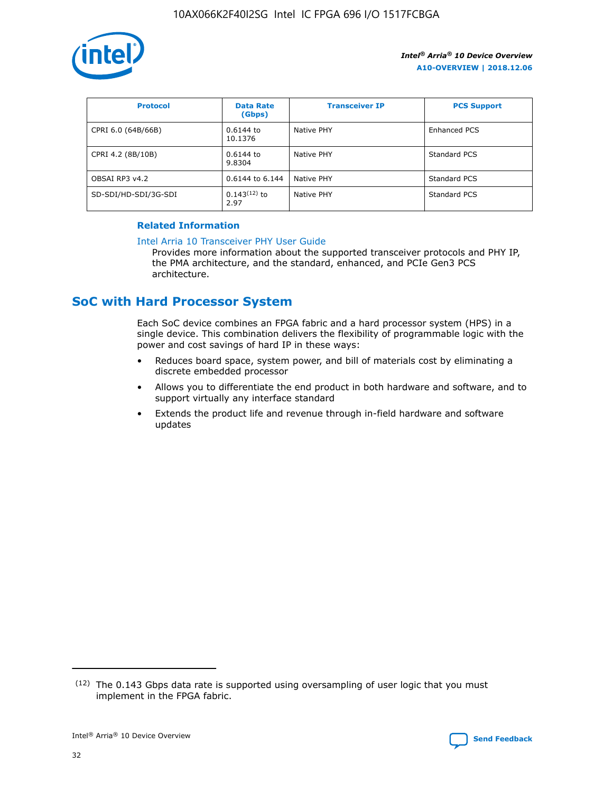

| <b>Protocol</b>      | <b>Data Rate</b><br>(Gbps) | <b>Transceiver IP</b> | <b>PCS Support</b> |
|----------------------|----------------------------|-----------------------|--------------------|
| CPRI 6.0 (64B/66B)   | 0.6144 to<br>10.1376       | Native PHY            | Enhanced PCS       |
| CPRI 4.2 (8B/10B)    | 0.6144 to<br>9.8304        | Native PHY            | Standard PCS       |
| OBSAI RP3 v4.2       | 0.6144 to 6.144            | Native PHY            | Standard PCS       |
| SD-SDI/HD-SDI/3G-SDI | $0.143(12)$ to<br>2.97     | Native PHY            | Standard PCS       |

## **Related Information**

#### [Intel Arria 10 Transceiver PHY User Guide](https://www.intel.com/content/www/us/en/programmable/documentation/nik1398707230472.html#nik1398707091164)

Provides more information about the supported transceiver protocols and PHY IP, the PMA architecture, and the standard, enhanced, and PCIe Gen3 PCS architecture.

## **SoC with Hard Processor System**

Each SoC device combines an FPGA fabric and a hard processor system (HPS) in a single device. This combination delivers the flexibility of programmable logic with the power and cost savings of hard IP in these ways:

- Reduces board space, system power, and bill of materials cost by eliminating a discrete embedded processor
- Allows you to differentiate the end product in both hardware and software, and to support virtually any interface standard
- Extends the product life and revenue through in-field hardware and software updates

 $(12)$  The 0.143 Gbps data rate is supported using oversampling of user logic that you must implement in the FPGA fabric.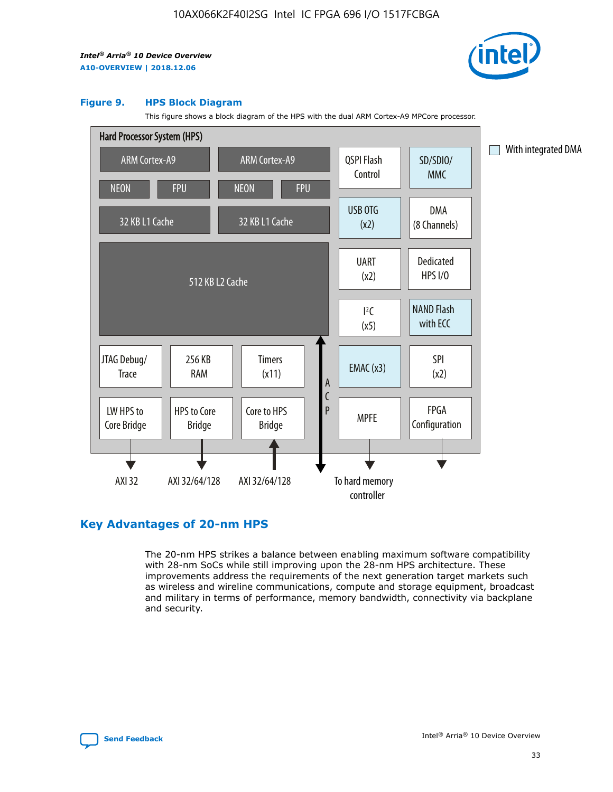

#### **Figure 9. HPS Block Diagram**

This figure shows a block diagram of the HPS with the dual ARM Cortex-A9 MPCore processor.



## **Key Advantages of 20-nm HPS**

The 20-nm HPS strikes a balance between enabling maximum software compatibility with 28-nm SoCs while still improving upon the 28-nm HPS architecture. These improvements address the requirements of the next generation target markets such as wireless and wireline communications, compute and storage equipment, broadcast and military in terms of performance, memory bandwidth, connectivity via backplane and security.

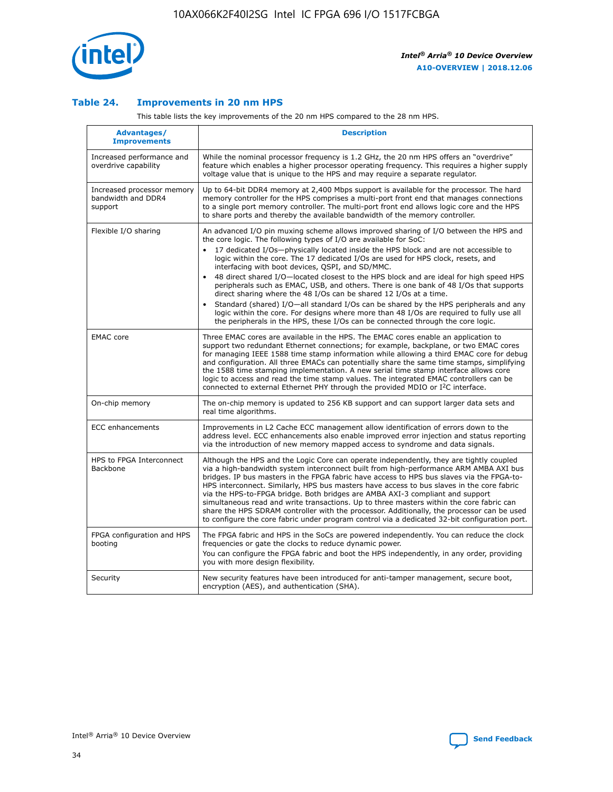

## **Table 24. Improvements in 20 nm HPS**

This table lists the key improvements of the 20 nm HPS compared to the 28 nm HPS.

| Advantages/<br><b>Improvements</b>                          | <b>Description</b>                                                                                                                                                                                                                                                                                                                                                                                                                                                                                                                                                                                                                                                                                                                                                                                                                                                                                                                   |
|-------------------------------------------------------------|--------------------------------------------------------------------------------------------------------------------------------------------------------------------------------------------------------------------------------------------------------------------------------------------------------------------------------------------------------------------------------------------------------------------------------------------------------------------------------------------------------------------------------------------------------------------------------------------------------------------------------------------------------------------------------------------------------------------------------------------------------------------------------------------------------------------------------------------------------------------------------------------------------------------------------------|
| Increased performance and<br>overdrive capability           | While the nominal processor frequency is 1.2 GHz, the 20 nm HPS offers an "overdrive"<br>feature which enables a higher processor operating frequency. This requires a higher supply<br>voltage value that is unique to the HPS and may require a separate requlator.                                                                                                                                                                                                                                                                                                                                                                                                                                                                                                                                                                                                                                                                |
| Increased processor memory<br>bandwidth and DDR4<br>support | Up to 64-bit DDR4 memory at 2,400 Mbps support is available for the processor. The hard<br>memory controller for the HPS comprises a multi-port front end that manages connections<br>to a single port memory controller. The multi-port front end allows logic core and the HPS<br>to share ports and thereby the available bandwidth of the memory controller.                                                                                                                                                                                                                                                                                                                                                                                                                                                                                                                                                                     |
| Flexible I/O sharing                                        | An advanced I/O pin muxing scheme allows improved sharing of I/O between the HPS and<br>the core logic. The following types of I/O are available for SoC:<br>17 dedicated I/Os-physically located inside the HPS block and are not accessible to<br>logic within the core. The 17 dedicated I/Os are used for HPS clock, resets, and<br>interfacing with boot devices, QSPI, and SD/MMC.<br>48 direct shared I/O-located closest to the HPS block and are ideal for high speed HPS<br>peripherals such as EMAC, USB, and others. There is one bank of 48 I/Os that supports<br>direct sharing where the 48 I/Os can be shared 12 I/Os at a time.<br>Standard (shared) I/O-all standard I/Os can be shared by the HPS peripherals and any<br>$\bullet$<br>logic within the core. For designs where more than 48 I/Os are required to fully use all<br>the peripherals in the HPS, these I/Os can be connected through the core logic. |
| <b>EMAC</b> core                                            | Three EMAC cores are available in the HPS. The EMAC cores enable an application to<br>support two redundant Ethernet connections; for example, backplane, or two EMAC cores<br>for managing IEEE 1588 time stamp information while allowing a third EMAC core for debug<br>and configuration. All three EMACs can potentially share the same time stamps, simplifying<br>the 1588 time stamping implementation. A new serial time stamp interface allows core<br>logic to access and read the time stamp values. The integrated EMAC controllers can be<br>connected to external Ethernet PHY through the provided MDIO or I <sup>2</sup> C interface.                                                                                                                                                                                                                                                                               |
| On-chip memory                                              | The on-chip memory is updated to 256 KB support and can support larger data sets and<br>real time algorithms.                                                                                                                                                                                                                                                                                                                                                                                                                                                                                                                                                                                                                                                                                                                                                                                                                        |
| <b>ECC</b> enhancements                                     | Improvements in L2 Cache ECC management allow identification of errors down to the<br>address level. ECC enhancements also enable improved error injection and status reporting<br>via the introduction of new memory mapped access to syndrome and data signals.                                                                                                                                                                                                                                                                                                                                                                                                                                                                                                                                                                                                                                                                    |
| HPS to FPGA Interconnect<br><b>Backbone</b>                 | Although the HPS and the Logic Core can operate independently, they are tightly coupled<br>via a high-bandwidth system interconnect built from high-performance ARM AMBA AXI bus<br>bridges. IP bus masters in the FPGA fabric have access to HPS bus slaves via the FPGA-to-<br>HPS interconnect. Similarly, HPS bus masters have access to bus slaves in the core fabric<br>via the HPS-to-FPGA bridge. Both bridges are AMBA AXI-3 compliant and support<br>simultaneous read and write transactions. Up to three masters within the core fabric can<br>share the HPS SDRAM controller with the processor. Additionally, the processor can be used<br>to configure the core fabric under program control via a dedicated 32-bit configuration port.                                                                                                                                                                               |
| FPGA configuration and HPS<br>booting                       | The FPGA fabric and HPS in the SoCs are powered independently. You can reduce the clock<br>frequencies or gate the clocks to reduce dynamic power.<br>You can configure the FPGA fabric and boot the HPS independently, in any order, providing<br>you with more design flexibility.                                                                                                                                                                                                                                                                                                                                                                                                                                                                                                                                                                                                                                                 |
| Security                                                    | New security features have been introduced for anti-tamper management, secure boot,<br>encryption (AES), and authentication (SHA).                                                                                                                                                                                                                                                                                                                                                                                                                                                                                                                                                                                                                                                                                                                                                                                                   |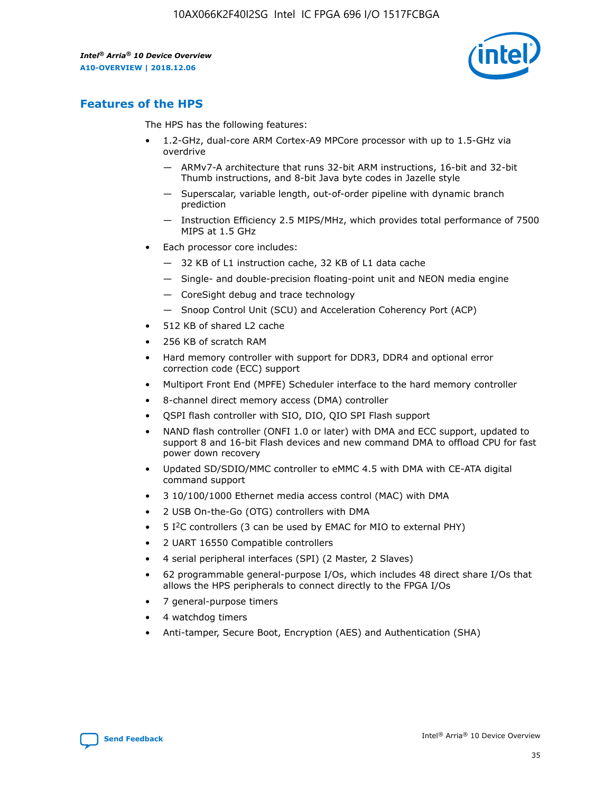

## **Features of the HPS**

The HPS has the following features:

- 1.2-GHz, dual-core ARM Cortex-A9 MPCore processor with up to 1.5-GHz via overdrive
	- ARMv7-A architecture that runs 32-bit ARM instructions, 16-bit and 32-bit Thumb instructions, and 8-bit Java byte codes in Jazelle style
	- Superscalar, variable length, out-of-order pipeline with dynamic branch prediction
	- Instruction Efficiency 2.5 MIPS/MHz, which provides total performance of 7500 MIPS at 1.5 GHz
- Each processor core includes:
	- 32 KB of L1 instruction cache, 32 KB of L1 data cache
	- Single- and double-precision floating-point unit and NEON media engine
	- CoreSight debug and trace technology
	- Snoop Control Unit (SCU) and Acceleration Coherency Port (ACP)
- 512 KB of shared L2 cache
- 256 KB of scratch RAM
- Hard memory controller with support for DDR3, DDR4 and optional error correction code (ECC) support
- Multiport Front End (MPFE) Scheduler interface to the hard memory controller
- 8-channel direct memory access (DMA) controller
- QSPI flash controller with SIO, DIO, QIO SPI Flash support
- NAND flash controller (ONFI 1.0 or later) with DMA and ECC support, updated to support 8 and 16-bit Flash devices and new command DMA to offload CPU for fast power down recovery
- Updated SD/SDIO/MMC controller to eMMC 4.5 with DMA with CE-ATA digital command support
- 3 10/100/1000 Ethernet media access control (MAC) with DMA
- 2 USB On-the-Go (OTG) controllers with DMA
- $\bullet$  5 I<sup>2</sup>C controllers (3 can be used by EMAC for MIO to external PHY)
- 2 UART 16550 Compatible controllers
- 4 serial peripheral interfaces (SPI) (2 Master, 2 Slaves)
- 62 programmable general-purpose I/Os, which includes 48 direct share I/Os that allows the HPS peripherals to connect directly to the FPGA I/Os
- 7 general-purpose timers
- 4 watchdog timers
- Anti-tamper, Secure Boot, Encryption (AES) and Authentication (SHA)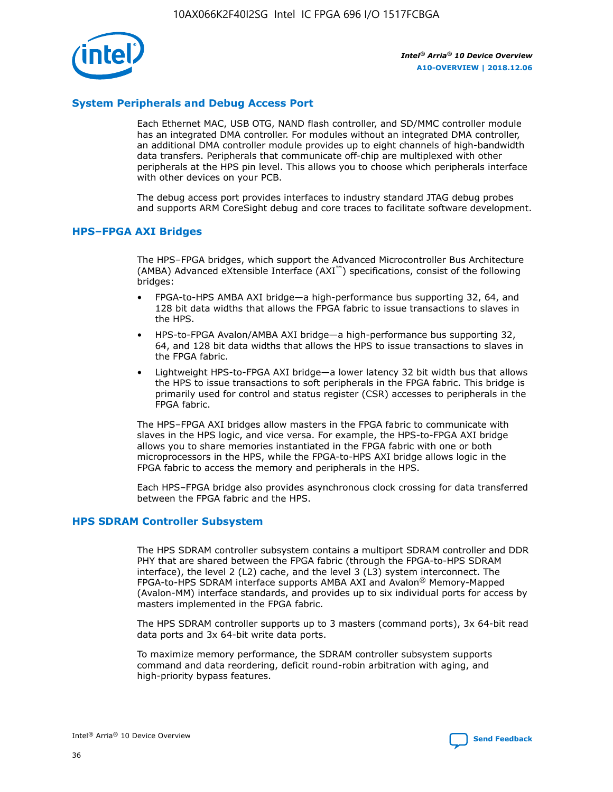

## **System Peripherals and Debug Access Port**

Each Ethernet MAC, USB OTG, NAND flash controller, and SD/MMC controller module has an integrated DMA controller. For modules without an integrated DMA controller, an additional DMA controller module provides up to eight channels of high-bandwidth data transfers. Peripherals that communicate off-chip are multiplexed with other peripherals at the HPS pin level. This allows you to choose which peripherals interface with other devices on your PCB.

The debug access port provides interfaces to industry standard JTAG debug probes and supports ARM CoreSight debug and core traces to facilitate software development.

## **HPS–FPGA AXI Bridges**

The HPS–FPGA bridges, which support the Advanced Microcontroller Bus Architecture (AMBA) Advanced eXtensible Interface (AXI™) specifications, consist of the following bridges:

- FPGA-to-HPS AMBA AXI bridge—a high-performance bus supporting 32, 64, and 128 bit data widths that allows the FPGA fabric to issue transactions to slaves in the HPS.
- HPS-to-FPGA Avalon/AMBA AXI bridge—a high-performance bus supporting 32, 64, and 128 bit data widths that allows the HPS to issue transactions to slaves in the FPGA fabric.
- Lightweight HPS-to-FPGA AXI bridge—a lower latency 32 bit width bus that allows the HPS to issue transactions to soft peripherals in the FPGA fabric. This bridge is primarily used for control and status register (CSR) accesses to peripherals in the FPGA fabric.

The HPS–FPGA AXI bridges allow masters in the FPGA fabric to communicate with slaves in the HPS logic, and vice versa. For example, the HPS-to-FPGA AXI bridge allows you to share memories instantiated in the FPGA fabric with one or both microprocessors in the HPS, while the FPGA-to-HPS AXI bridge allows logic in the FPGA fabric to access the memory and peripherals in the HPS.

Each HPS–FPGA bridge also provides asynchronous clock crossing for data transferred between the FPGA fabric and the HPS.

### **HPS SDRAM Controller Subsystem**

The HPS SDRAM controller subsystem contains a multiport SDRAM controller and DDR PHY that are shared between the FPGA fabric (through the FPGA-to-HPS SDRAM interface), the level 2 (L2) cache, and the level 3 (L3) system interconnect. The FPGA-to-HPS SDRAM interface supports AMBA AXI and Avalon® Memory-Mapped (Avalon-MM) interface standards, and provides up to six individual ports for access by masters implemented in the FPGA fabric.

The HPS SDRAM controller supports up to 3 masters (command ports), 3x 64-bit read data ports and 3x 64-bit write data ports.

To maximize memory performance, the SDRAM controller subsystem supports command and data reordering, deficit round-robin arbitration with aging, and high-priority bypass features.

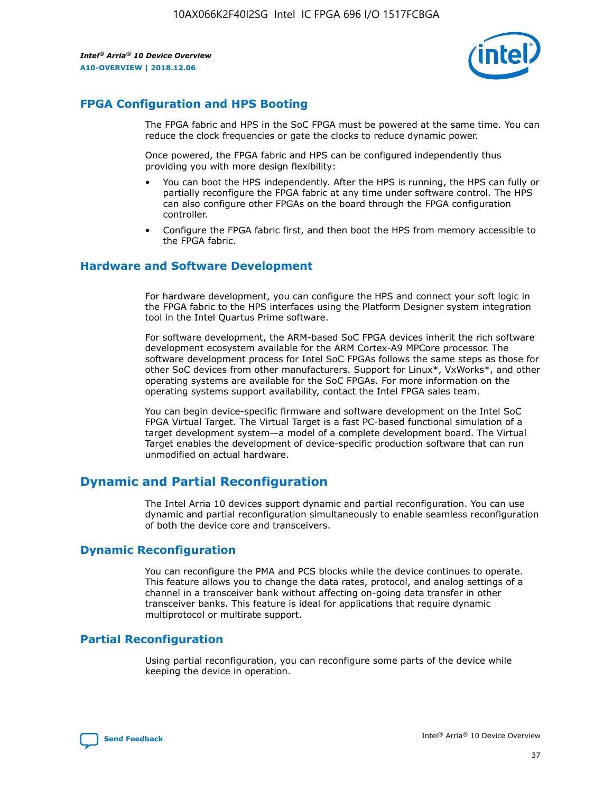

## **FPGA Configuration and HPS Booting**

The FPGA fabric and HPS in the SoC FPGA must be powered at the same time. You can reduce the clock frequencies or gate the clocks to reduce dynamic power.

Once powered, the FPGA fabric and HPS can be configured independently thus providing you with more design flexibility:

- You can boot the HPS independently. After the HPS is running, the HPS can fully or partially reconfigure the FPGA fabric at any time under software control. The HPS can also configure other FPGAs on the board through the FPGA configuration controller.
- Configure the FPGA fabric first, and then boot the HPS from memory accessible to the FPGA fabric.

## **Hardware and Software Development**

For hardware development, you can configure the HPS and connect your soft logic in the FPGA fabric to the HPS interfaces using the Platform Designer system integration tool in the Intel Quartus Prime software.

For software development, the ARM-based SoC FPGA devices inherit the rich software development ecosystem available for the ARM Cortex-A9 MPCore processor. The software development process for Intel SoC FPGAs follows the same steps as those for other SoC devices from other manufacturers. Support for Linux\*, VxWorks\*, and other operating systems are available for the SoC FPGAs. For more information on the operating systems support availability, contact the Intel FPGA sales team.

You can begin device-specific firmware and software development on the Intel SoC FPGA Virtual Target. The Virtual Target is a fast PC-based functional simulation of a target development system—a model of a complete development board. The Virtual Target enables the development of device-specific production software that can run unmodified on actual hardware.

## **Dynamic and Partial Reconfiguration**

The Intel Arria 10 devices support dynamic and partial reconfiguration. You can use dynamic and partial reconfiguration simultaneously to enable seamless reconfiguration of both the device core and transceivers.

## **Dynamic Reconfiguration**

You can reconfigure the PMA and PCS blocks while the device continues to operate. This feature allows you to change the data rates, protocol, and analog settings of a channel in a transceiver bank without affecting on-going data transfer in other transceiver banks. This feature is ideal for applications that require dynamic multiprotocol or multirate support.

## **Partial Reconfiguration**

Using partial reconfiguration, you can reconfigure some parts of the device while keeping the device in operation.

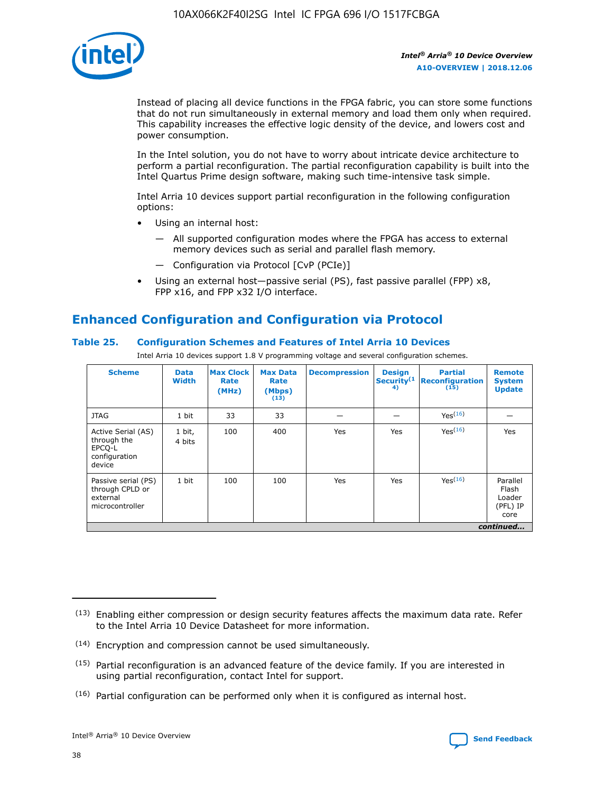

Instead of placing all device functions in the FPGA fabric, you can store some functions that do not run simultaneously in external memory and load them only when required. This capability increases the effective logic density of the device, and lowers cost and power consumption.

In the Intel solution, you do not have to worry about intricate device architecture to perform a partial reconfiguration. The partial reconfiguration capability is built into the Intel Quartus Prime design software, making such time-intensive task simple.

Intel Arria 10 devices support partial reconfiguration in the following configuration options:

- Using an internal host:
	- All supported configuration modes where the FPGA has access to external memory devices such as serial and parallel flash memory.
	- Configuration via Protocol [CvP (PCIe)]
- Using an external host—passive serial (PS), fast passive parallel (FPP) x8, FPP x16, and FPP x32 I/O interface.

# **Enhanced Configuration and Configuration via Protocol**

## **Table 25. Configuration Schemes and Features of Intel Arria 10 Devices**

Intel Arria 10 devices support 1.8 V programming voltage and several configuration schemes.

| <b>Scheme</b>                                                          | <b>Data</b><br><b>Width</b> | <b>Max Clock</b><br>Rate<br>(MHz) | <b>Max Data</b><br>Rate<br>(Mbps)<br>(13) | <b>Decompression</b> | <b>Design</b><br>Security <sup>(1</sup><br>4) | <b>Partial</b><br>Reconfiguration<br>(15) | <b>Remote</b><br><b>System</b><br><b>Update</b> |
|------------------------------------------------------------------------|-----------------------------|-----------------------------------|-------------------------------------------|----------------------|-----------------------------------------------|-------------------------------------------|-------------------------------------------------|
| <b>JTAG</b>                                                            | 1 bit                       | 33                                | 33                                        |                      |                                               | Yes <sup>(16)</sup>                       |                                                 |
| Active Serial (AS)<br>through the<br>EPCO-L<br>configuration<br>device | 1 bit,<br>4 bits            | 100                               | 400                                       | Yes                  | Yes                                           | Yes(16)                                   | Yes                                             |
| Passive serial (PS)<br>through CPLD or<br>external<br>microcontroller  | 1 bit                       | 100                               | 100                                       | Yes                  | Yes                                           | Yes(16)                                   | Parallel<br>Flash<br>Loader<br>(PFL) IP<br>core |
|                                                                        |                             |                                   |                                           |                      |                                               |                                           | continued                                       |

<sup>(13)</sup> Enabling either compression or design security features affects the maximum data rate. Refer to the Intel Arria 10 Device Datasheet for more information.

<sup>(14)</sup> Encryption and compression cannot be used simultaneously.

 $(15)$  Partial reconfiguration is an advanced feature of the device family. If you are interested in using partial reconfiguration, contact Intel for support.

 $(16)$  Partial configuration can be performed only when it is configured as internal host.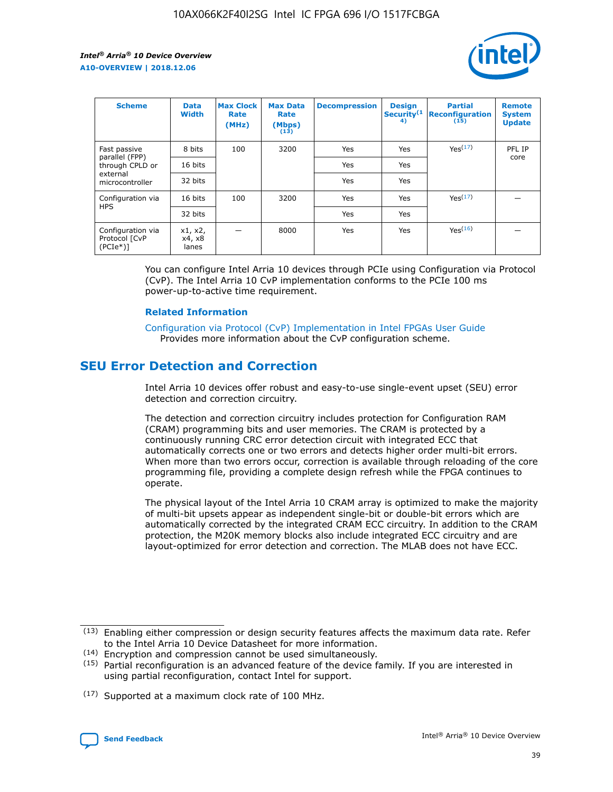

| <b>Scheme</b>                                   | <b>Data</b><br><b>Width</b> | <b>Max Clock</b><br>Rate<br>(MHz) | <b>Max Data</b><br>Rate<br>(Mbps)<br>(13) | <b>Decompression</b> | <b>Design</b><br>Security <sup>(1</sup><br>4) | <b>Partial</b><br><b>Reconfiguration</b><br>(15) | <b>Remote</b><br><b>System</b><br><b>Update</b> |
|-------------------------------------------------|-----------------------------|-----------------------------------|-------------------------------------------|----------------------|-----------------------------------------------|--------------------------------------------------|-------------------------------------------------|
| Fast passive                                    | 8 bits                      | 100                               | 3200                                      | Yes                  | Yes                                           | Yes(17)                                          | PFL IP                                          |
| parallel (FPP)<br>through CPLD or               | 16 bits                     |                                   |                                           | Yes                  | Yes                                           |                                                  | core                                            |
| external<br>microcontroller                     | 32 bits                     |                                   |                                           | Yes                  | Yes                                           |                                                  |                                                 |
| Configuration via                               | 16 bits                     | 100                               | 3200                                      | Yes                  | Yes                                           | Yes <sup>(17)</sup>                              |                                                 |
| <b>HPS</b>                                      | 32 bits                     |                                   |                                           | Yes                  | Yes                                           |                                                  |                                                 |
| Configuration via<br>Protocol [CvP<br>$(PCIe*)$ | x1, x2,<br>x4, x8<br>lanes  |                                   | 8000                                      | Yes                  | Yes                                           | Yes <sup>(16)</sup>                              |                                                 |

You can configure Intel Arria 10 devices through PCIe using Configuration via Protocol (CvP). The Intel Arria 10 CvP implementation conforms to the PCIe 100 ms power-up-to-active time requirement.

#### **Related Information**

[Configuration via Protocol \(CvP\) Implementation in Intel FPGAs User Guide](https://www.intel.com/content/www/us/en/programmable/documentation/dsu1441819344145.html#dsu1442269728522) Provides more information about the CvP configuration scheme.

## **SEU Error Detection and Correction**

Intel Arria 10 devices offer robust and easy-to-use single-event upset (SEU) error detection and correction circuitry.

The detection and correction circuitry includes protection for Configuration RAM (CRAM) programming bits and user memories. The CRAM is protected by a continuously running CRC error detection circuit with integrated ECC that automatically corrects one or two errors and detects higher order multi-bit errors. When more than two errors occur, correction is available through reloading of the core programming file, providing a complete design refresh while the FPGA continues to operate.

The physical layout of the Intel Arria 10 CRAM array is optimized to make the majority of multi-bit upsets appear as independent single-bit or double-bit errors which are automatically corrected by the integrated CRAM ECC circuitry. In addition to the CRAM protection, the M20K memory blocks also include integrated ECC circuitry and are layout-optimized for error detection and correction. The MLAB does not have ECC.

(14) Encryption and compression cannot be used simultaneously.

<sup>(17)</sup> Supported at a maximum clock rate of 100 MHz.



 $(13)$  Enabling either compression or design security features affects the maximum data rate. Refer to the Intel Arria 10 Device Datasheet for more information.

 $(15)$  Partial reconfiguration is an advanced feature of the device family. If you are interested in using partial reconfiguration, contact Intel for support.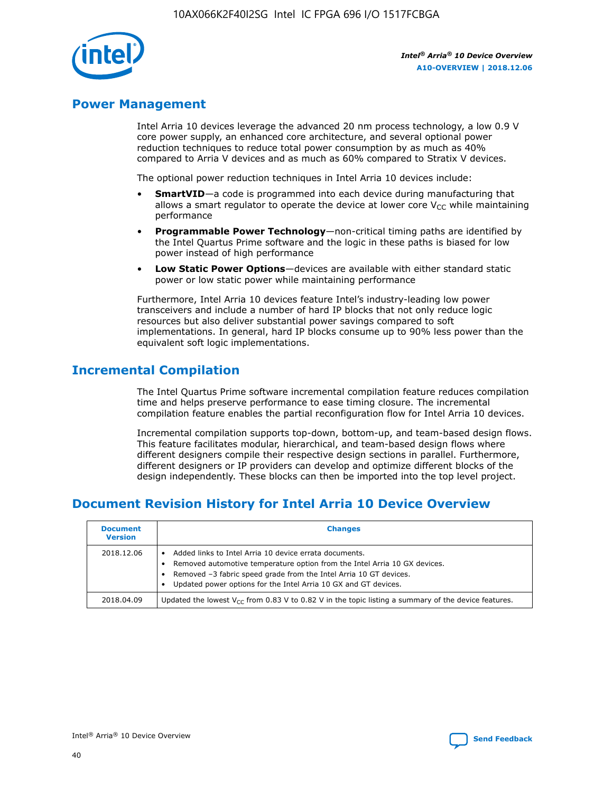

## **Power Management**

Intel Arria 10 devices leverage the advanced 20 nm process technology, a low 0.9 V core power supply, an enhanced core architecture, and several optional power reduction techniques to reduce total power consumption by as much as 40% compared to Arria V devices and as much as 60% compared to Stratix V devices.

The optional power reduction techniques in Intel Arria 10 devices include:

- **SmartVID**—a code is programmed into each device during manufacturing that allows a smart regulator to operate the device at lower core  $V_{CC}$  while maintaining performance
- **Programmable Power Technology**—non-critical timing paths are identified by the Intel Quartus Prime software and the logic in these paths is biased for low power instead of high performance
- **Low Static Power Options**—devices are available with either standard static power or low static power while maintaining performance

Furthermore, Intel Arria 10 devices feature Intel's industry-leading low power transceivers and include a number of hard IP blocks that not only reduce logic resources but also deliver substantial power savings compared to soft implementations. In general, hard IP blocks consume up to 90% less power than the equivalent soft logic implementations.

## **Incremental Compilation**

The Intel Quartus Prime software incremental compilation feature reduces compilation time and helps preserve performance to ease timing closure. The incremental compilation feature enables the partial reconfiguration flow for Intel Arria 10 devices.

Incremental compilation supports top-down, bottom-up, and team-based design flows. This feature facilitates modular, hierarchical, and team-based design flows where different designers compile their respective design sections in parallel. Furthermore, different designers or IP providers can develop and optimize different blocks of the design independently. These blocks can then be imported into the top level project.

# **Document Revision History for Intel Arria 10 Device Overview**

| <b>Document</b><br><b>Version</b> | <b>Changes</b>                                                                                                                                                                                                                                                              |
|-----------------------------------|-----------------------------------------------------------------------------------------------------------------------------------------------------------------------------------------------------------------------------------------------------------------------------|
| 2018.12.06                        | Added links to Intel Arria 10 device errata documents.<br>Removed automotive temperature option from the Intel Arria 10 GX devices.<br>Removed -3 fabric speed grade from the Intel Arria 10 GT devices.<br>Updated power options for the Intel Arria 10 GX and GT devices. |
| 2018.04.09                        | Updated the lowest $V_{CC}$ from 0.83 V to 0.82 V in the topic listing a summary of the device features.                                                                                                                                                                    |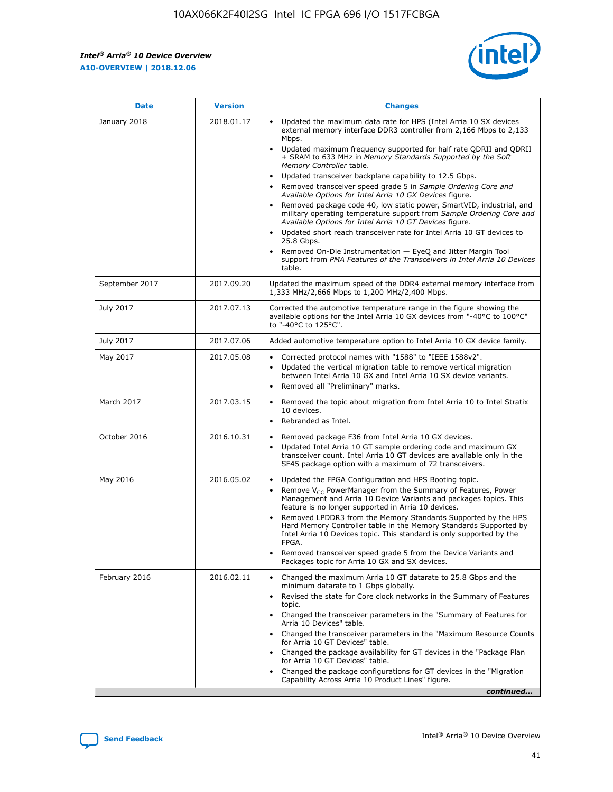*Intel® Arria® 10 Device Overview* **A10-OVERVIEW | 2018.12.06**



| <b>Date</b>    | <b>Version</b> | <b>Changes</b>                                                                                                                                                                                                                                                                                                                                                                                                                                                                                                                                                                                                                                                                                                                                                                                                                                                                                                                                                            |
|----------------|----------------|---------------------------------------------------------------------------------------------------------------------------------------------------------------------------------------------------------------------------------------------------------------------------------------------------------------------------------------------------------------------------------------------------------------------------------------------------------------------------------------------------------------------------------------------------------------------------------------------------------------------------------------------------------------------------------------------------------------------------------------------------------------------------------------------------------------------------------------------------------------------------------------------------------------------------------------------------------------------------|
| January 2018   | 2018.01.17     | Updated the maximum data rate for HPS (Intel Arria 10 SX devices<br>external memory interface DDR3 controller from 2,166 Mbps to 2,133<br>Mbps.<br>Updated maximum frequency supported for half rate QDRII and QDRII<br>+ SRAM to 633 MHz in Memory Standards Supported by the Soft<br>Memory Controller table.<br>Updated transceiver backplane capability to 12.5 Gbps.<br>$\bullet$<br>Removed transceiver speed grade 5 in Sample Ordering Core and<br>Available Options for Intel Arria 10 GX Devices figure.<br>Removed package code 40, low static power, SmartVID, industrial, and<br>military operating temperature support from Sample Ordering Core and<br>Available Options for Intel Arria 10 GT Devices figure.<br>Updated short reach transceiver rate for Intel Arria 10 GT devices to<br>25.8 Gbps.<br>Removed On-Die Instrumentation - EyeQ and Jitter Margin Tool<br>support from PMA Features of the Transceivers in Intel Arria 10 Devices<br>table. |
| September 2017 | 2017.09.20     | Updated the maximum speed of the DDR4 external memory interface from<br>1,333 MHz/2,666 Mbps to 1,200 MHz/2,400 Mbps.                                                                                                                                                                                                                                                                                                                                                                                                                                                                                                                                                                                                                                                                                                                                                                                                                                                     |
| July 2017      | 2017.07.13     | Corrected the automotive temperature range in the figure showing the<br>available options for the Intel Arria 10 GX devices from "-40°C to 100°C"<br>to "-40°C to 125°C".                                                                                                                                                                                                                                                                                                                                                                                                                                                                                                                                                                                                                                                                                                                                                                                                 |
| July 2017      | 2017.07.06     | Added automotive temperature option to Intel Arria 10 GX device family.                                                                                                                                                                                                                                                                                                                                                                                                                                                                                                                                                                                                                                                                                                                                                                                                                                                                                                   |
| May 2017       | 2017.05.08     | Corrected protocol names with "1588" to "IEEE 1588v2".<br>$\bullet$<br>Updated the vertical migration table to remove vertical migration<br>$\bullet$<br>between Intel Arria 10 GX and Intel Arria 10 SX device variants.<br>Removed all "Preliminary" marks.<br>$\bullet$                                                                                                                                                                                                                                                                                                                                                                                                                                                                                                                                                                                                                                                                                                |
| March 2017     | 2017.03.15     | Removed the topic about migration from Intel Arria 10 to Intel Stratix<br>10 devices.<br>Rebranded as Intel.<br>$\bullet$                                                                                                                                                                                                                                                                                                                                                                                                                                                                                                                                                                                                                                                                                                                                                                                                                                                 |
| October 2016   | 2016.10.31     | Removed package F36 from Intel Arria 10 GX devices.<br>Updated Intel Arria 10 GT sample ordering code and maximum GX<br>$\bullet$<br>transceiver count. Intel Arria 10 GT devices are available only in the<br>SF45 package option with a maximum of 72 transceivers.                                                                                                                                                                                                                                                                                                                                                                                                                                                                                                                                                                                                                                                                                                     |
| May 2016       | 2016.05.02     | Updated the FPGA Configuration and HPS Booting topic.<br>$\bullet$<br>Remove V <sub>CC</sub> PowerManager from the Summary of Features, Power<br>Management and Arria 10 Device Variants and packages topics. This<br>feature is no longer supported in Arria 10 devices.<br>Removed LPDDR3 from the Memory Standards Supported by the HPS<br>Hard Memory Controller table in the Memory Standards Supported by<br>Intel Arria 10 Devices topic. This standard is only supported by the<br>FPGA.<br>Removed transceiver speed grade 5 from the Device Variants and<br>Packages topic for Arria 10 GX and SX devices.                                                                                                                                                                                                                                                                                                                                                      |
| February 2016  | 2016.02.11     | Changed the maximum Arria 10 GT datarate to 25.8 Gbps and the<br>minimum datarate to 1 Gbps globally.<br>Revised the state for Core clock networks in the Summary of Features<br>$\bullet$<br>topic.<br>Changed the transceiver parameters in the "Summary of Features for<br>$\bullet$<br>Arria 10 Devices" table.<br>• Changed the transceiver parameters in the "Maximum Resource Counts<br>for Arria 10 GT Devices" table.<br>Changed the package availability for GT devices in the "Package Plan<br>for Arria 10 GT Devices" table.<br>Changed the package configurations for GT devices in the "Migration"<br>Capability Across Arria 10 Product Lines" figure.<br>continued                                                                                                                                                                                                                                                                                       |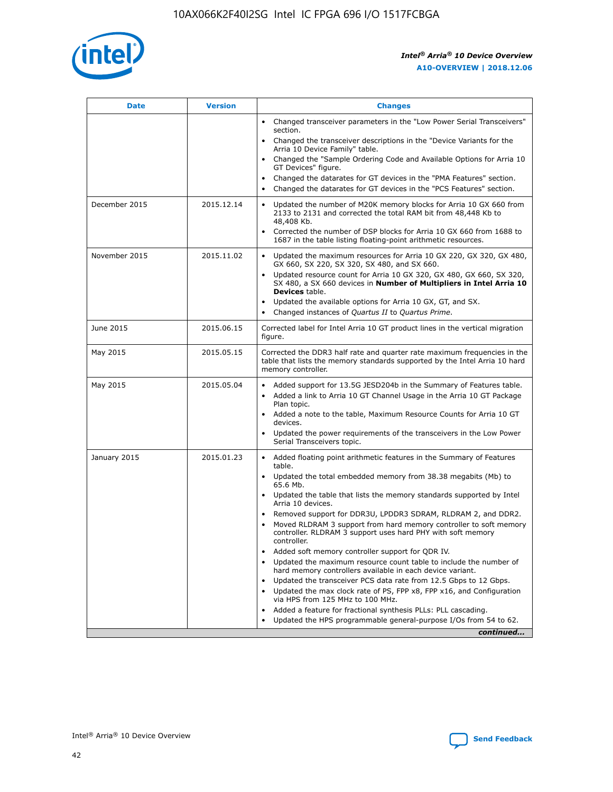

| <b>Date</b>   | <b>Version</b> | <b>Changes</b>                                                                                                                                                               |
|---------------|----------------|------------------------------------------------------------------------------------------------------------------------------------------------------------------------------|
|               |                | • Changed transceiver parameters in the "Low Power Serial Transceivers"<br>section.                                                                                          |
|               |                | • Changed the transceiver descriptions in the "Device Variants for the<br>Arria 10 Device Family" table.                                                                     |
|               |                | Changed the "Sample Ordering Code and Available Options for Arria 10<br>$\bullet$<br>GT Devices" figure.                                                                     |
|               |                | Changed the datarates for GT devices in the "PMA Features" section.                                                                                                          |
|               |                | Changed the datarates for GT devices in the "PCS Features" section.<br>$\bullet$                                                                                             |
| December 2015 | 2015.12.14     | Updated the number of M20K memory blocks for Arria 10 GX 660 from<br>2133 to 2131 and corrected the total RAM bit from 48,448 Kb to<br>48,408 Kb.                            |
|               |                | Corrected the number of DSP blocks for Arria 10 GX 660 from 1688 to<br>1687 in the table listing floating-point arithmetic resources.                                        |
| November 2015 | 2015.11.02     | Updated the maximum resources for Arria 10 GX 220, GX 320, GX 480,<br>$\bullet$<br>GX 660, SX 220, SX 320, SX 480, and SX 660.                                               |
|               |                | • Updated resource count for Arria 10 GX 320, GX 480, GX 660, SX 320,<br>SX 480, a SX 660 devices in Number of Multipliers in Intel Arria 10<br><b>Devices</b> table.        |
|               |                | Updated the available options for Arria 10 GX, GT, and SX.                                                                                                                   |
|               |                | Changed instances of Quartus II to Quartus Prime.<br>$\bullet$                                                                                                               |
| June 2015     | 2015.06.15     | Corrected label for Intel Arria 10 GT product lines in the vertical migration<br>figure.                                                                                     |
| May 2015      | 2015.05.15     | Corrected the DDR3 half rate and quarter rate maximum frequencies in the<br>table that lists the memory standards supported by the Intel Arria 10 hard<br>memory controller. |
| May 2015      | 2015.05.04     | • Added support for 13.5G JESD204b in the Summary of Features table.                                                                                                         |
|               |                | • Added a link to Arria 10 GT Channel Usage in the Arria 10 GT Package<br>Plan topic.                                                                                        |
|               |                | • Added a note to the table, Maximum Resource Counts for Arria 10 GT<br>devices.                                                                                             |
|               |                | • Updated the power requirements of the transceivers in the Low Power<br>Serial Transceivers topic.                                                                          |
| January 2015  | 2015.01.23     | • Added floating point arithmetic features in the Summary of Features<br>table.                                                                                              |
|               |                | • Updated the total embedded memory from 38.38 megabits (Mb) to<br>65.6 Mb.                                                                                                  |
|               |                | • Updated the table that lists the memory standards supported by Intel<br>Arria 10 devices.                                                                                  |
|               |                | Removed support for DDR3U, LPDDR3 SDRAM, RLDRAM 2, and DDR2.                                                                                                                 |
|               |                | Moved RLDRAM 3 support from hard memory controller to soft memory<br>controller. RLDRAM 3 support uses hard PHY with soft memory<br>controller.                              |
|               |                | Added soft memory controller support for QDR IV.<br>٠                                                                                                                        |
|               |                | Updated the maximum resource count table to include the number of<br>hard memory controllers available in each device variant.                                               |
|               |                | Updated the transceiver PCS data rate from 12.5 Gbps to 12 Gbps.<br>$\bullet$                                                                                                |
|               |                | Updated the max clock rate of PS, FPP x8, FPP x16, and Configuration<br>via HPS from 125 MHz to 100 MHz.                                                                     |
|               |                | Added a feature for fractional synthesis PLLs: PLL cascading.                                                                                                                |
|               |                | Updated the HPS programmable general-purpose I/Os from 54 to 62.<br>$\bullet$                                                                                                |
|               |                | continued                                                                                                                                                                    |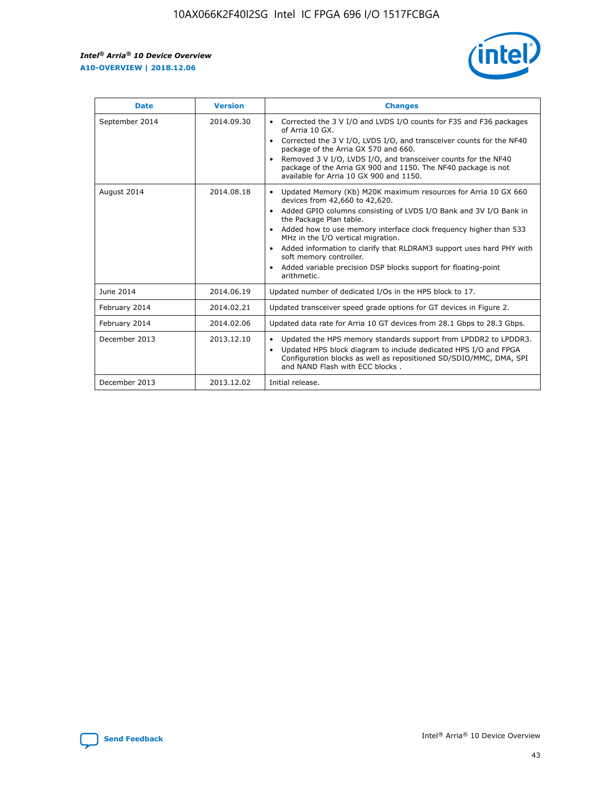r



| <b>Date</b>    | <b>Version</b> | <b>Changes</b>                                                                                                                                                                                                                                                                                                                                                                                                                                                                                                                                      |
|----------------|----------------|-----------------------------------------------------------------------------------------------------------------------------------------------------------------------------------------------------------------------------------------------------------------------------------------------------------------------------------------------------------------------------------------------------------------------------------------------------------------------------------------------------------------------------------------------------|
| September 2014 | 2014.09.30     | Corrected the 3 V I/O and LVDS I/O counts for F35 and F36 packages<br>$\bullet$<br>of Arria 10 GX.<br>Corrected the 3 V I/O, LVDS I/O, and transceiver counts for the NF40<br>$\bullet$<br>package of the Arria GX 570 and 660.<br>Removed 3 V I/O, LVDS I/O, and transceiver counts for the NF40<br>package of the Arria GX 900 and 1150. The NF40 package is not<br>available for Arria 10 GX 900 and 1150.                                                                                                                                       |
| August 2014    | 2014.08.18     | Updated Memory (Kb) M20K maximum resources for Arria 10 GX 660<br>devices from 42,660 to 42,620.<br>Added GPIO columns consisting of LVDS I/O Bank and 3V I/O Bank in<br>$\bullet$<br>the Package Plan table.<br>Added how to use memory interface clock frequency higher than 533<br>$\bullet$<br>MHz in the I/O vertical migration.<br>Added information to clarify that RLDRAM3 support uses hard PHY with<br>$\bullet$<br>soft memory controller.<br>Added variable precision DSP blocks support for floating-point<br>$\bullet$<br>arithmetic. |
| June 2014      | 2014.06.19     | Updated number of dedicated I/Os in the HPS block to 17.                                                                                                                                                                                                                                                                                                                                                                                                                                                                                            |
| February 2014  | 2014.02.21     | Updated transceiver speed grade options for GT devices in Figure 2.                                                                                                                                                                                                                                                                                                                                                                                                                                                                                 |
| February 2014  | 2014.02.06     | Updated data rate for Arria 10 GT devices from 28.1 Gbps to 28.3 Gbps.                                                                                                                                                                                                                                                                                                                                                                                                                                                                              |
| December 2013  | 2013.12.10     | Updated the HPS memory standards support from LPDDR2 to LPDDR3.<br>Updated HPS block diagram to include dedicated HPS I/O and FPGA<br>$\bullet$<br>Configuration blocks as well as repositioned SD/SDIO/MMC, DMA, SPI<br>and NAND Flash with ECC blocks.                                                                                                                                                                                                                                                                                            |
| December 2013  | 2013.12.02     | Initial release.                                                                                                                                                                                                                                                                                                                                                                                                                                                                                                                                    |